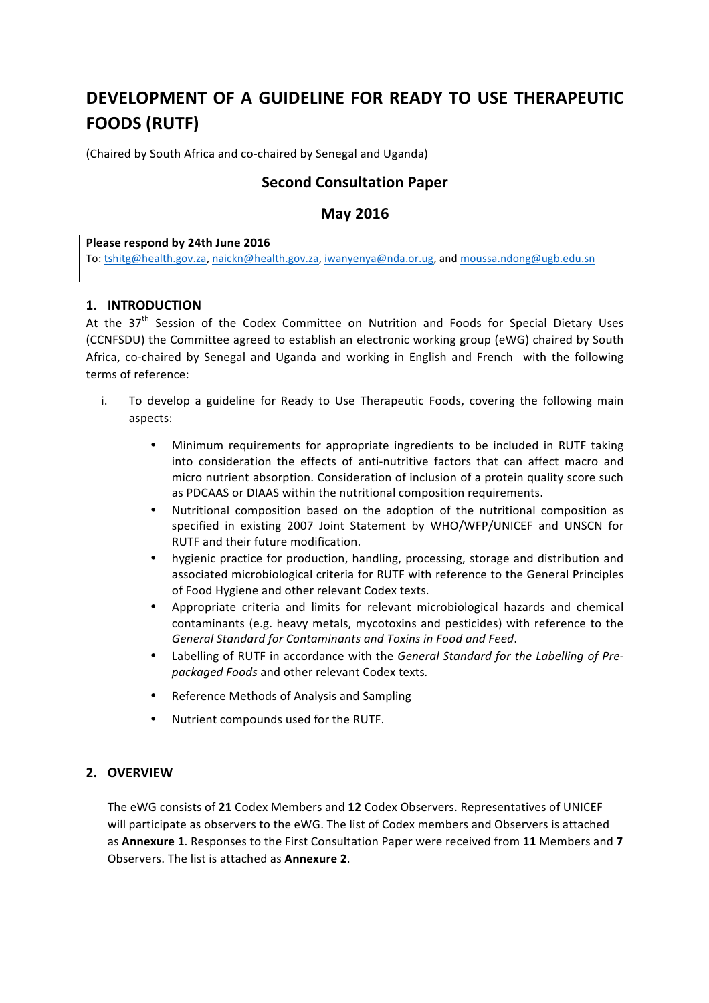# **DEVELOPMENT OF A GUIDELINE FOR READY TO USE THERAPEUTIC FOODS (RUTF)**

(Chaired by South Africa and co-chaired by Senegal and Uganda)

# **Second Consultation Paper**

# **May 2016**

#### **Please respond by 24th June 2016**

To: tshitg@health.gov.za, naickn@health.gov.za, iwanyenya@nda.or.ug, and moussa.ndong@ugb.edu.sn

### **1. INTRODUCTION**

At the  $37<sup>th</sup>$  Session of the Codex Committee on Nutrition and Foods for Special Dietary Uses (CCNFSDU) the Committee agreed to establish an electronic working group (eWG) chaired by South Africa, co-chaired by Senegal and Uganda and working in English and French with the following terms of reference:

- i. To develop a guideline for Ready to Use Therapeutic Foods, covering the following main aspects:
	- Minimum requirements for appropriate ingredients to be included in RUTF taking into consideration the effects of anti-nutritive factors that can affect macro and micro nutrient absorption. Consideration of inclusion of a protein quality score such as PDCAAS or DIAAS within the nutritional composition requirements.
	- Nutritional composition based on the adoption of the nutritional composition as specified in existing 2007 Joint Statement by WHO/WFP/UNICEF and UNSCN for RUTF and their future modification.
	- hygienic practice for production, handling, processing, storage and distribution and associated microbiological criteria for RUTF with reference to the General Principles of Food Hygiene and other relevant Codex texts.
	- Appropriate criteria and limits for relevant microbiological hazards and chemical contaminants (e.g. heavy metals, mycotoxins and pesticides) with reference to the General Standard for Contaminants and Toxins in Food and Feed.
	- Labelling of RUTF in accordance with the *General Standard for the Labelling of Prepackaged Foods* and other relevant Codex texts*.*
	- Reference Methods of Analysis and Sampling
	- Nutrient compounds used for the RUTF.

# **2. OVERVIEW**

The eWG consists of 21 Codex Members and 12 Codex Observers. Representatives of UNICEF will participate as observers to the eWG. The list of Codex members and Observers is attached as **Annexure 1**. Responses to the First Consultation Paper were received from 11 Members and 7 Observers. The list is attached as **Annexure 2**.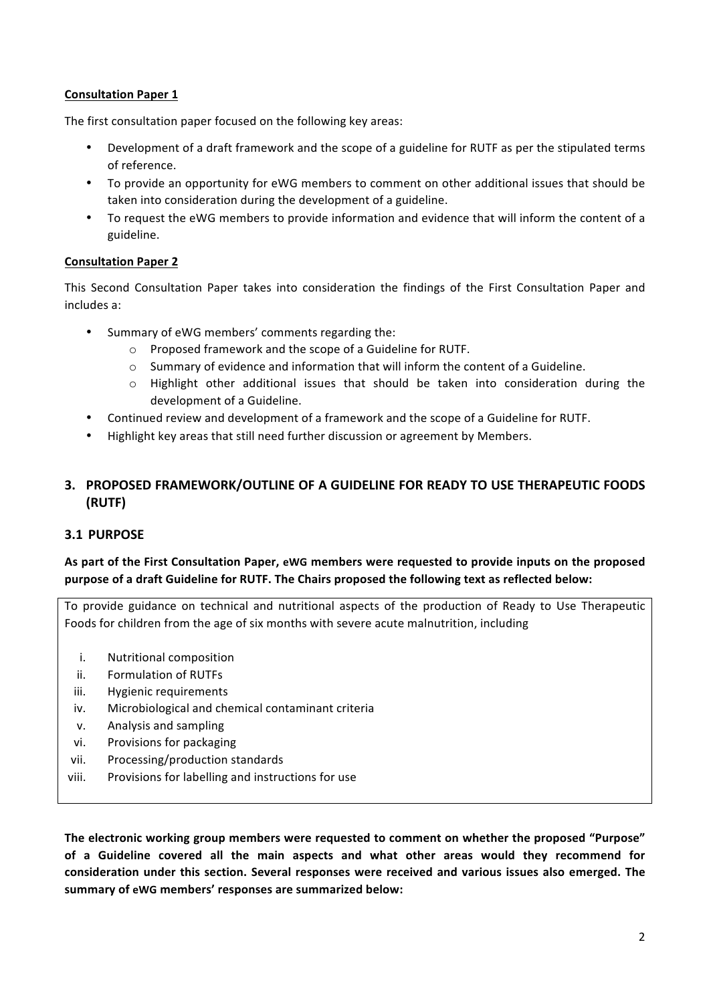# **Consultation Paper 1**

The first consultation paper focused on the following key areas:

- Development of a draft framework and the scope of a guideline for RUTF as per the stipulated terms of reference.
- To provide an opportunity for eWG members to comment on other additional issues that should be taken into consideration during the development of a guideline.
- To request the eWG members to provide information and evidence that will inform the content of a guideline.

# **Consultation Paper 2**

This Second Consultation Paper takes into consideration the findings of the First Consultation Paper and includes a:

- Summary of eWG members' comments regarding the:
	- $\circ$  Proposed framework and the scope of a Guideline for RUTF.
	- o Summary of evidence and information that will inform the content of a Guideline.
	- o Highlight other additional issues that should be taken into consideration during the development of a Guideline.
- Continued review and development of a framework and the scope of a Guideline for RUTF.
- Highlight key areas that still need further discussion or agreement by Members.

# **3. PROPOSED FRAMEWORK/OUTLINE OF A GUIDELINE FOR READY TO USE THERAPEUTIC FOODS (RUTF)**

# **3.1 PURPOSE**

# As part of the First Consultation Paper, eWG members were requested to provide inputs on the proposed purpose of a draft Guideline for RUTF. The Chairs proposed the following text as reflected below:

To provide guidance on technical and nutritional aspects of the production of Ready to Use Therapeutic Foods for children from the age of six months with severe acute malnutrition, including

- i. Nutritional composition
- ii. Formulation of RUTFs
- iii. Hygienic requirements
- iv. Microbiological and chemical contaminant criteria
- v. Analysis and sampling
- vi. Provisions for packaging
- vii. Processing/production standards
- viii. Provisions for labelling and instructions for use

The electronic working group members were requested to comment on whether the proposed "Purpose" of a Guideline covered all the main aspects and what other areas would they recommend for consideration under this section. Several responses were received and various issues also emerged. The **summary of eWG members' responses are summarized below:**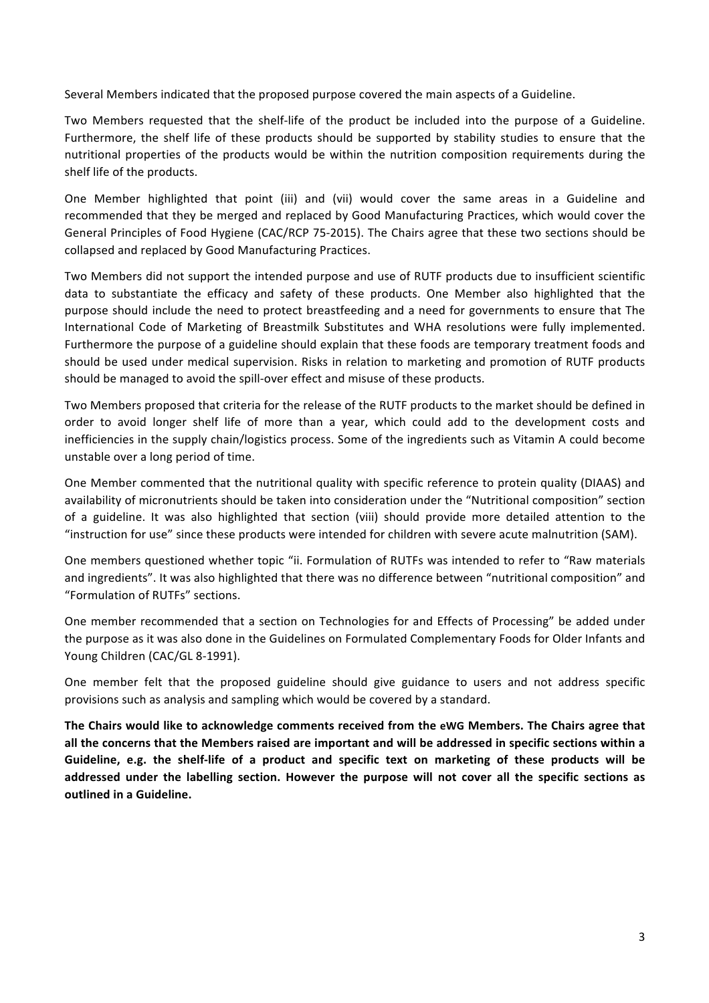Several Members indicated that the proposed purpose covered the main aspects of a Guideline.

Two Members requested that the shelf-life of the product be included into the purpose of a Guideline. Furthermore, the shelf life of these products should be supported by stability studies to ensure that the nutritional properties of the products would be within the nutrition composition requirements during the shelf life of the products.

One Member highlighted that point (iii) and (vii) would cover the same areas in a Guideline and recommended that they be merged and replaced by Good Manufacturing Practices, which would cover the General Principles of Food Hygiene (CAC/RCP 75-2015). The Chairs agree that these two sections should be collapsed and replaced by Good Manufacturing Practices.

Two Members did not support the intended purpose and use of RUTF products due to insufficient scientific data to substantiate the efficacy and safety of these products. One Member also highlighted that the purpose should include the need to protect breastfeeding and a need for governments to ensure that The International Code of Marketing of Breastmilk Substitutes and WHA resolutions were fully implemented. Furthermore the purpose of a guideline should explain that these foods are temporary treatment foods and should be used under medical supervision. Risks in relation to marketing and promotion of RUTF products should be managed to avoid the spill-over effect and misuse of these products.

Two Members proposed that criteria for the release of the RUTF products to the market should be defined in order to avoid longer shelf life of more than a year, which could add to the development costs and inefficiencies in the supply chain/logistics process. Some of the ingredients such as Vitamin A could become unstable over a long period of time.

One Member commented that the nutritional quality with specific reference to protein quality (DIAAS) and availability of micronutrients should be taken into consideration under the "Nutritional composition" section of a guideline. It was also highlighted that section (viii) should provide more detailed attention to the "instruction for use" since these products were intended for children with severe acute malnutrition (SAM).

One members questioned whether topic "ii. Formulation of RUTFs was intended to refer to "Raw materials and ingredients". It was also highlighted that there was no difference between "nutritional composition" and "Formulation of RUTFs" sections.

One member recommended that a section on Technologies for and Effects of Processing" be added under the purpose as it was also done in the Guidelines on Formulated Complementary Foods for Older Infants and Young Children (CAC/GL 8-1991).

One member felt that the proposed guideline should give guidance to users and not address specific provisions such as analysis and sampling which would be covered by a standard.

The Chairs would like to acknowledge comments received from the eWG Members. The Chairs agree that all the concerns that the Members raised are important and will be addressed in specific sections within a Guideline, e.g. the shelf-life of a product and specific text on marketing of these products will be addressed under the labelling section. However the purpose will not cover all the specific sections as **outlined in a Guideline.**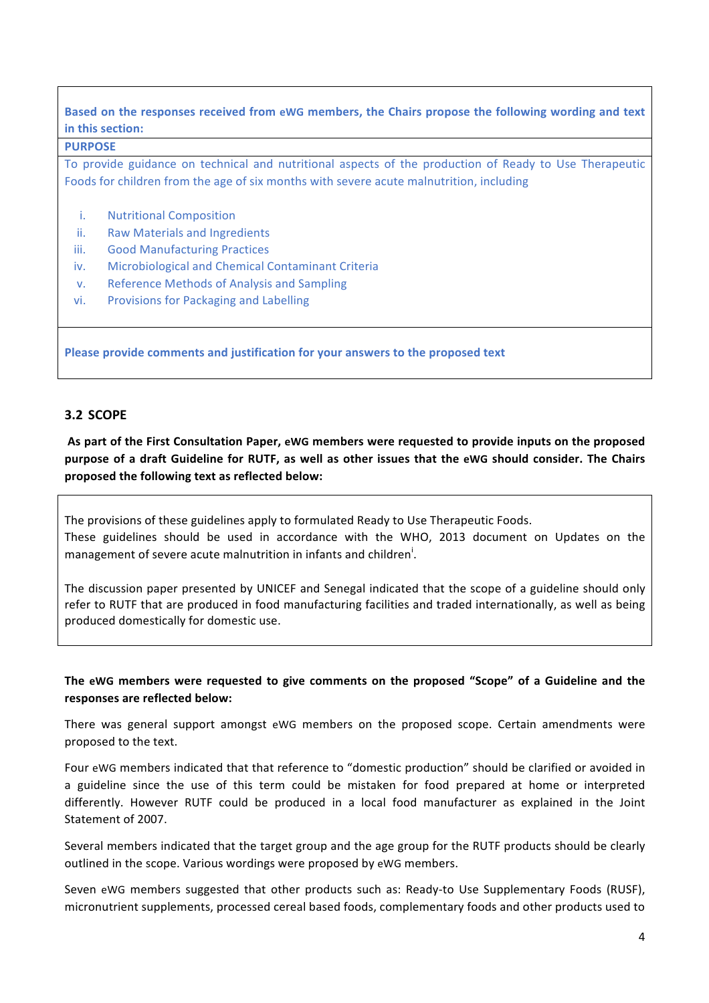# Based on the responses received from eWG members, the Chairs propose the following wording and text **in this section:**

#### **PURPOSE**

To provide guidance on technical and nutritional aspects of the production of Ready to Use Therapeutic Foods for children from the age of six months with severe acute malnutrition, including

- i. Nutritional Composition
- ii. Raw Materials and Ingredients
- iii. Good Manufacturing Practices
- iv. Microbiological and Chemical Contaminant Criteria
- v. Reference Methods of Analysis and Sampling
- vi. Provisions for Packaging and Labelling

**Please provide comments and justification for your answers to the proposed text** 

#### **3.2 SCOPE**

As part of the First Consultation Paper, eWG members were requested to provide inputs on the proposed purpose of a draft Guideline for RUTF, as well as other issues that the eWG should consider. The Chairs proposed the following text as reflected below:

The provisions of these guidelines apply to formulated Ready to Use Therapeutic Foods. These guidelines should be used in accordance with the WHO, 2013 document on Updates on the management of severe acute malnutrition in infants and children<sup>i</sup>.

The discussion paper presented by UNICEF and Senegal indicated that the scope of a guideline should only refer to RUTF that are produced in food manufacturing facilities and traded internationally, as well as being produced domestically for domestic use.

#### The eWG members were requested to give comments on the proposed "Scope" of a Guideline and the responses are reflected below:

There was general support amongst eWG members on the proposed scope. Certain amendments were proposed to the text.

Four eWG members indicated that that reference to "domestic production" should be clarified or avoided in a guideline since the use of this term could be mistaken for food prepared at home or interpreted differently. However RUTF could be produced in a local food manufacturer as explained in the Joint Statement of 2007.

Several members indicated that the target group and the age group for the RUTF products should be clearly outlined in the scope. Various wordings were proposed by eWG members.

Seven eWG members suggested that other products such as: Ready-to Use Supplementary Foods (RUSF), micronutrient supplements, processed cereal based foods, complementary foods and other products used to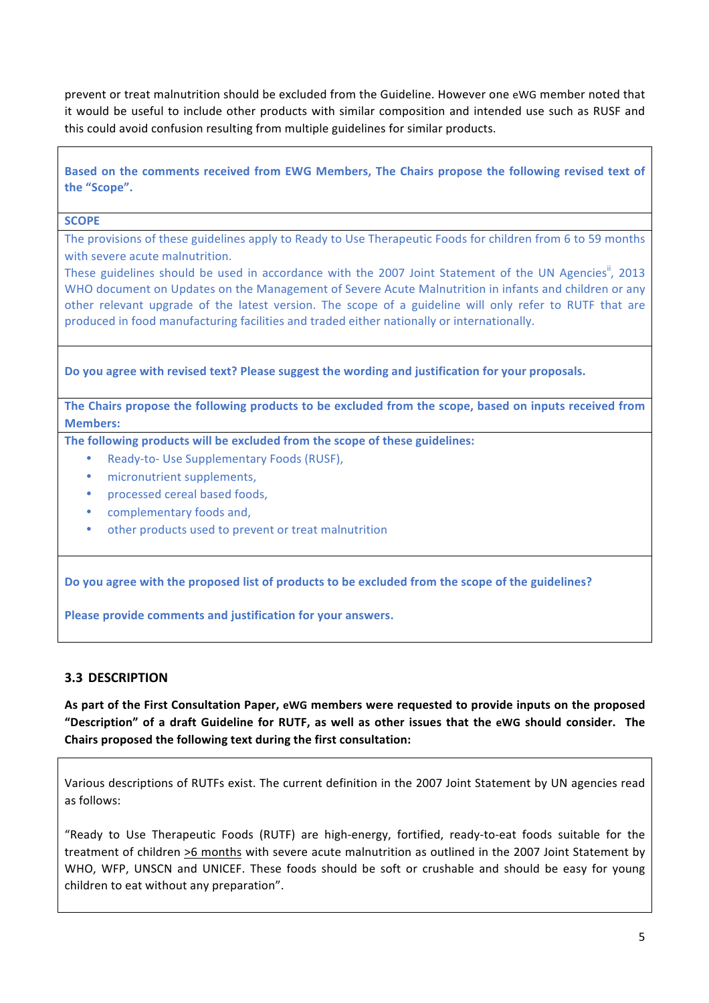prevent or treat malnutrition should be excluded from the Guideline. However one eWG member noted that it would be useful to include other products with similar composition and intended use such as RUSF and this could avoid confusion resulting from multiple guidelines for similar products.

Based on the comments received from EWG Members, The Chairs propose the following revised text of **the "Scope".**

#### **SCOPE**

The provisions of these guidelines apply to Ready to Use Therapeutic Foods for children from 6 to 59 months with severe acute malnutrition.

These guidelines should be used in accordance with the 2007 Joint Statement of the UN Agencies<sup>ii</sup>, 2013 WHO document on Updates on the Management of Severe Acute Malnutrition in infants and children or any other relevant upgrade of the latest version. The scope of a guideline will only refer to RUTF that are produced in food manufacturing facilities and traded either nationally or internationally.

Do you agree with revised text? Please suggest the wording and justification for your proposals.

The Chairs propose the following products to be excluded from the scope, based on inputs received from **Members:**

**The following products will be excluded from the scope of these guidelines:** 

- Ready-to- Use Supplementary Foods (RUSF),
- micronutrient supplements.
- processed cereal based foods,
- complementary foods and,
- other products used to prevent or treat malnutrition

Do you agree with the proposed list of products to be excluded from the scope of the guidelines?

**Please provide comments and justification for your answers.** 

# **3.3 DESCRIPTION**

As part of the First Consultation Paper, eWG members were requested to provide inputs on the proposed **"Description" of a draft Guideline for RUTF, as well as other issues that the eWG should consider. The**  Chairs proposed the following text during the first consultation:

Various descriptions of RUTFs exist. The current definition in the 2007 Joint Statement by UN agencies read as follows: 

"Ready to Use Therapeutic Foods (RUTF) are high-energy, fortified, ready-to-eat foods suitable for the treatment of children >6 months with severe acute malnutrition as outlined in the 2007 Joint Statement by WHO, WFP, UNSCN and UNICEF. These foods should be soft or crushable and should be easy for young children to eat without any preparation".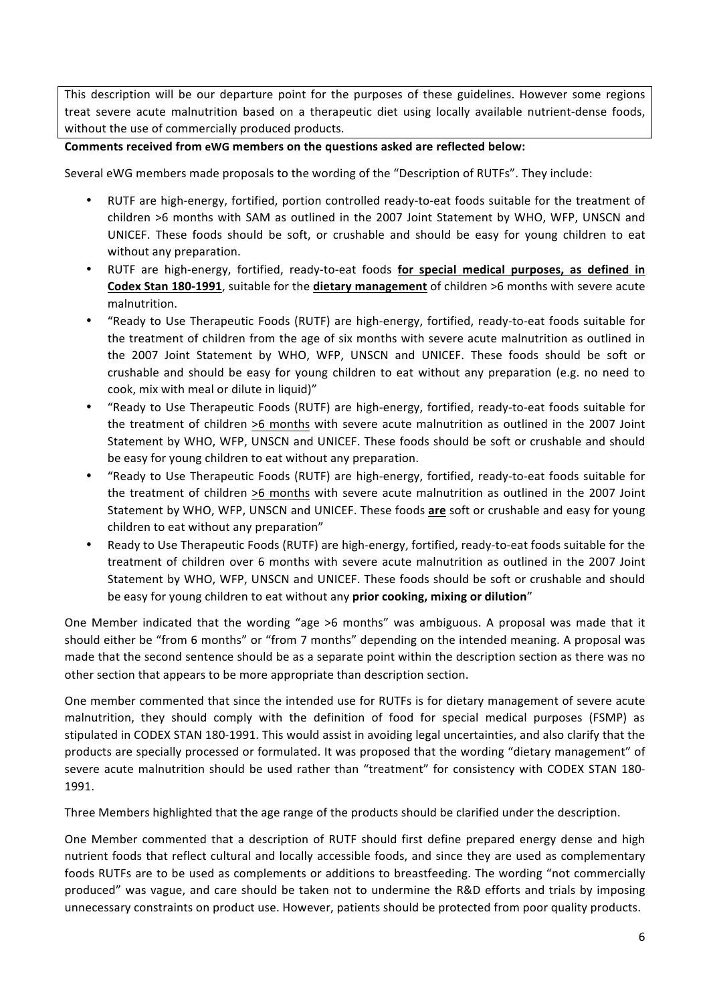This description will be our departure point for the purposes of these guidelines. However some regions treat severe acute malnutrition based on a therapeutic diet using locally available nutrient-dense foods, without the use of commercially produced products.

### **Comments received from eWG members on the questions asked are reflected below:**

Several eWG members made proposals to the wording of the "Description of RUTFs". They include:

- RUTF are high-energy, fortified, portion controlled ready-to-eat foods suitable for the treatment of children >6 months with SAM as outlined in the 2007 Joint Statement by WHO, WFP, UNSCN and UNICEF. These foods should be soft, or crushable and should be easy for young children to eat without any preparation.
- RUTF are high-energy, fortified, ready-to-eat foods for special medical purposes, as defined in **Codex Stan 180-1991**, suitable for the **dietary management** of children >6 months with severe acute malnutrition.
- "Ready to Use Therapeutic Foods (RUTF) are high-energy, fortified, ready-to-eat foods suitable for the treatment of children from the age of six months with severe acute malnutrition as outlined in the 2007 Joint Statement by WHO, WFP, UNSCN and UNICEF. These foods should be soft or crushable and should be easy for young children to eat without any preparation (e.g. no need to cook, mix with meal or dilute in liquid)"
- "Ready to Use Therapeutic Foods (RUTF) are high-energy, fortified, ready-to-eat foods suitable for the treatment of children >6 months with severe acute malnutrition as outlined in the 2007 Joint Statement by WHO, WFP, UNSCN and UNICEF. These foods should be soft or crushable and should be easy for young children to eat without any preparation.
- "Ready to Use Therapeutic Foods (RUTF) are high-energy, fortified, ready-to-eat foods suitable for the treatment of children >6 months with severe acute malnutrition as outlined in the 2007 Joint Statement by WHO, WFP, UNSCN and UNICEF. These foods are soft or crushable and easy for young children to eat without any preparation"
- Ready to Use Therapeutic Foods (RUTF) are high-energy, fortified, ready-to-eat foods suitable for the treatment of children over 6 months with severe acute malnutrition as outlined in the 2007 Joint Statement by WHO, WFP, UNSCN and UNICEF. These foods should be soft or crushable and should be easy for young children to eat without any prior cooking, mixing or dilution"

One Member indicated that the wording "age >6 months" was ambiguous. A proposal was made that it should either be "from 6 months" or "from 7 months" depending on the intended meaning. A proposal was made that the second sentence should be as a separate point within the description section as there was no other section that appears to be more appropriate than description section.

One member commented that since the intended use for RUTFs is for dietary management of severe acute malnutrition, they should comply with the definition of food for special medical purposes (FSMP) as stipulated in CODEX STAN 180-1991. This would assist in avoiding legal uncertainties, and also clarify that the products are specially processed or formulated. It was proposed that the wording "dietary management" of severe acute malnutrition should be used rather than "treatment" for consistency with CODEX STAN 180-1991.

Three Members highlighted that the age range of the products should be clarified under the description.

One Member commented that a description of RUTF should first define prepared energy dense and high nutrient foods that reflect cultural and locally accessible foods, and since they are used as complementary foods RUTFs are to be used as complements or additions to breastfeeding. The wording "not commercially produced" was vague, and care should be taken not to undermine the R&D efforts and trials by imposing unnecessary constraints on product use. However, patients should be protected from poor quality products.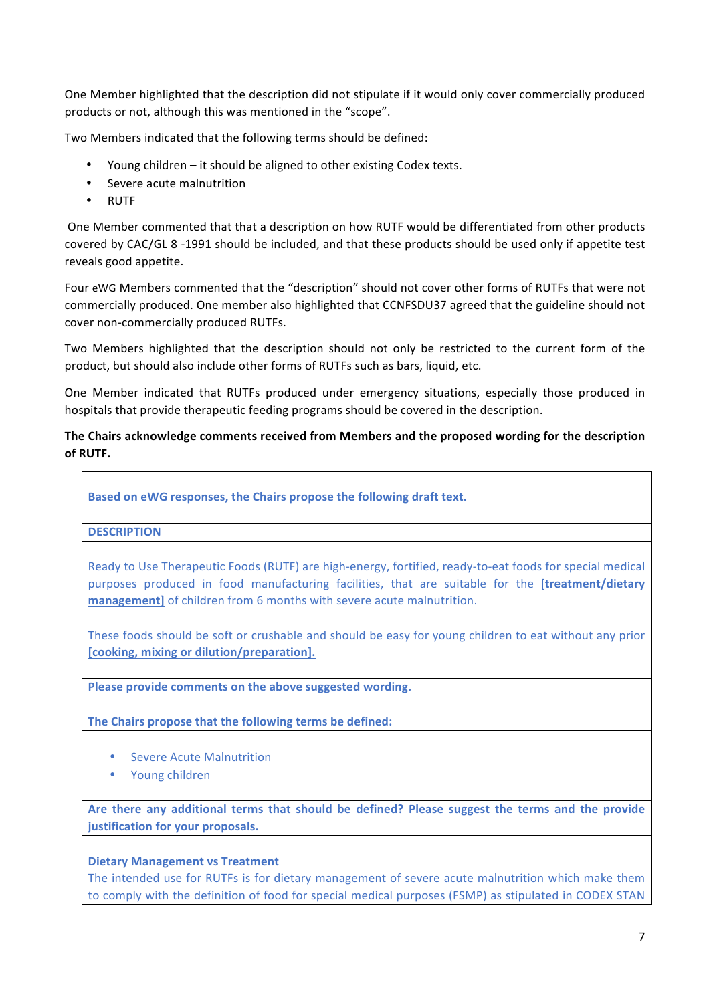One Member highlighted that the description did not stipulate if it would only cover commercially produced products or not, although this was mentioned in the "scope".

Two Members indicated that the following terms should be defined:

- Young children  $-$  it should be aligned to other existing Codex texts.
- Severe acute malnutrition
- RUTF

One Member commented that that a description on how RUTF would be differentiated from other products covered by CAC/GL 8 -1991 should be included, and that these products should be used only if appetite test reveals good appetite.

Four eWG Members commented that the "description" should not cover other forms of RUTFs that were not commercially produced. One member also highlighted that CCNFSDU37 agreed that the guideline should not cover non-commercially produced RUTFs.

Two Members highlighted that the description should not only be restricted to the current form of the product, but should also include other forms of RUTFs such as bars, liquid, etc.

One Member indicated that RUTFs produced under emergency situations, especially those produced in hospitals that provide therapeutic feeding programs should be covered in the description.

# The Chairs acknowledge comments received from Members and the proposed wording for the description **of RUTF.**

Based on eWG responses, the Chairs propose the following draft text.

**DESCRIPTION**

Ready to Use Therapeutic Foods (RUTF) are high-energy, fortified, ready-to-eat foods for special medical purposes produced in food manufacturing facilities, that are suitable for the **[treatment/dietary management**] of children from 6 months with severe acute malnutrition.

These foods should be soft or crushable and should be easy for young children to eat without any prior [cooking, mixing or dilution/preparation].

Please provide comments on the above suggested wording.

The Chairs propose that the following terms be defined:

- Severe Acute Malnutrition
- Young children

Are there any additional terms that should be defined? Please suggest the terms and the provide **justification for your proposals.** 

#### **Dietary Management vs Treatment**

The intended use for RUTFs is for dietary management of severe acute malnutrition which make them to comply with the definition of food for special medical purposes (FSMP) as stipulated in CODEX STAN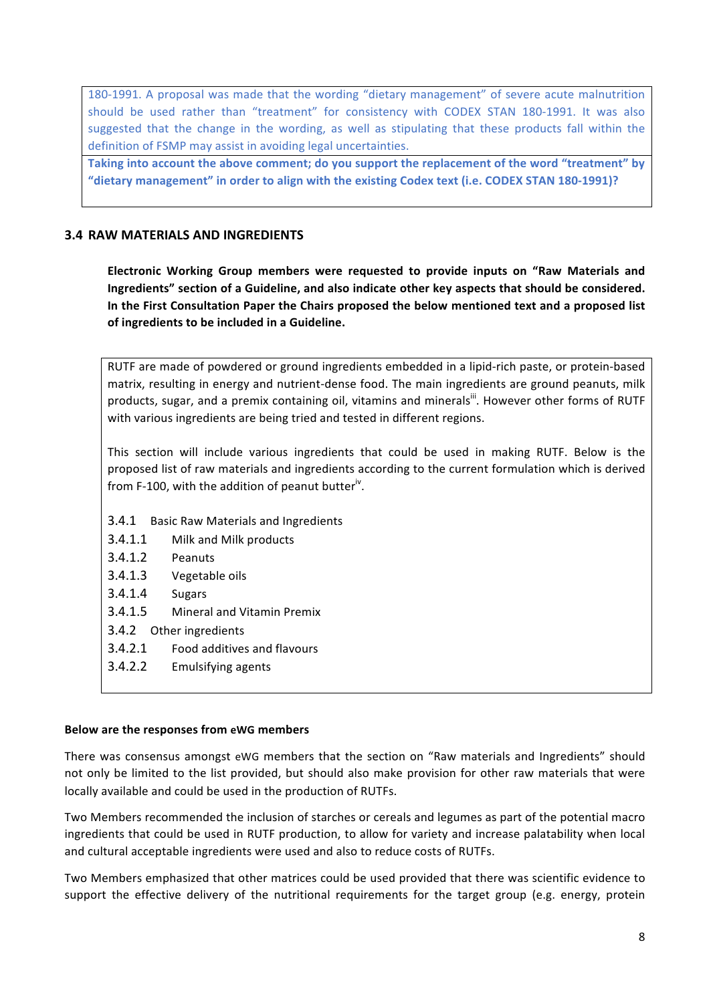180-1991. A proposal was made that the wording "dietary management" of severe acute malnutrition should be used rather than "treatment" for consistency with CODEX STAN 180-1991. It was also suggested that the change in the wording, as well as stipulating that these products fall within the definition of FSMP may assist in avoiding legal uncertainties.

Taking into account the above comment; do you support the replacement of the word "treatment" by "dietary management" in order to align with the existing Codex text (i.e. CODEX STAN 180-1991)?

### **3.4 RAW MATERIALS AND INGREDIENTS**

**Electronic Working Group members were requested to provide inputs on "Raw Materials and** Ingredients" section of a Guideline, and also indicate other key aspects that should be considered. In the First Consultation Paper the Chairs proposed the below mentioned text and a proposed list of ingredients to be included in a Guideline.

RUTF are made of powdered or ground ingredients embedded in a lipid-rich paste, or protein-based matrix, resulting in energy and nutrient-dense food. The main ingredients are ground peanuts, milk products, sugar, and a premix containing oil, vitamins and minerals<sup>iii</sup>. However other forms of RUTF with various ingredients are being tried and tested in different regions.

This section will include various ingredients that could be used in making RUTF. Below is the proposed list of raw materials and ingredients according to the current formulation which is derived from F-100, with the addition of peanut butter<sup>iv</sup>.

- 3.4.1 Basic Raw Materials and Ingredients
- 3.4.1.1 Milk and Milk products
- 3.4.1.2 Peanuts
- 3.4.1.3 Vegetable oils
- 3.4.1.4 Sugars
- 3.4.1.5 Mineral and Vitamin Premix
- 3.4.2 Other ingredients
- 3.4.2.1 Food additives and flavours
- 3.4.2.2 Emulsifying agents

#### **Below are the responses from eWG members**

There was consensus amongst eWG members that the section on "Raw materials and Ingredients" should not only be limited to the list provided, but should also make provision for other raw materials that were locally available and could be used in the production of RUTFs.

Two Members recommended the inclusion of starches or cereals and legumes as part of the potential macro ingredients that could be used in RUTF production, to allow for variety and increase palatability when local and cultural acceptable ingredients were used and also to reduce costs of RUTFs.

Two Members emphasized that other matrices could be used provided that there was scientific evidence to support the effective delivery of the nutritional requirements for the target group (e.g. energy, protein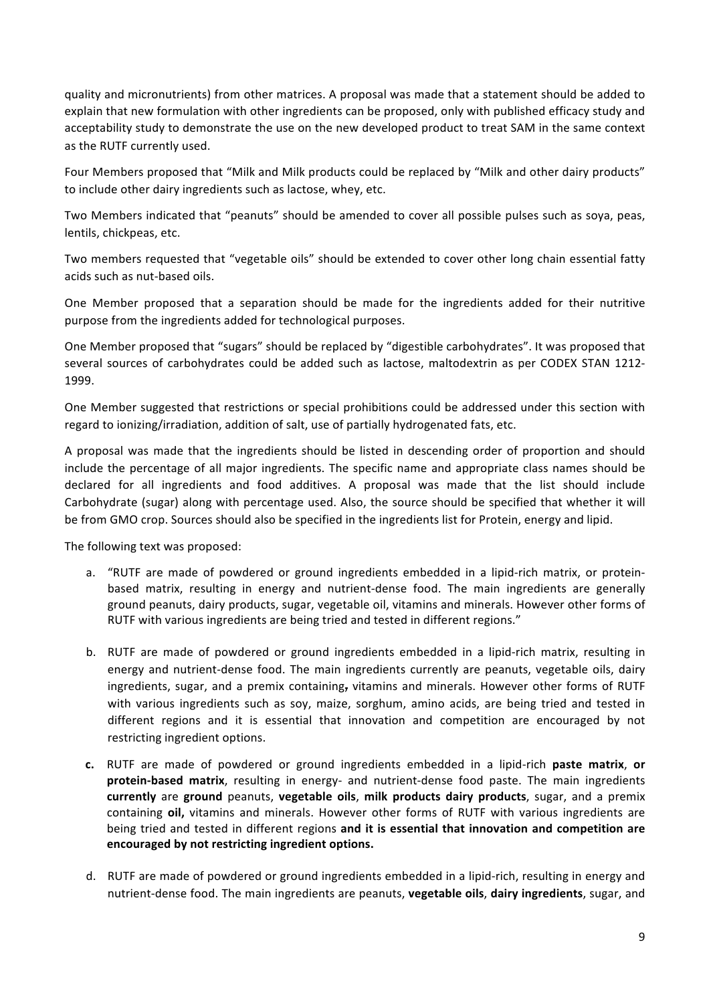quality and micronutrients) from other matrices. A proposal was made that a statement should be added to explain that new formulation with other ingredients can be proposed, only with published efficacy study and acceptability study to demonstrate the use on the new developed product to treat SAM in the same context as the RUTF currently used.

Four Members proposed that "Milk and Milk products could be replaced by "Milk and other dairy products" to include other dairy ingredients such as lactose, whey, etc.

Two Members indicated that "peanuts" should be amended to cover all possible pulses such as soya, peas, lentils, chickpeas, etc.

Two members requested that "vegetable oils" should be extended to cover other long chain essential fatty acids such as nut-based oils.

One Member proposed that a separation should be made for the ingredients added for their nutritive purpose from the ingredients added for technological purposes.

One Member proposed that "sugars" should be replaced by "digestible carbohydrates". It was proposed that several sources of carbohydrates could be added such as lactose, maltodextrin as per CODEX STAN 1212-1999.

One Member suggested that restrictions or special prohibitions could be addressed under this section with regard to ionizing/irradiation, addition of salt, use of partially hydrogenated fats, etc.

A proposal was made that the ingredients should be listed in descending order of proportion and should include the percentage of all major ingredients. The specific name and appropriate class names should be declared for all ingredients and food additives. A proposal was made that the list should include Carbohydrate (sugar) along with percentage used. Also, the source should be specified that whether it will be from GMO crop. Sources should also be specified in the ingredients list for Protein, energy and lipid.

The following text was proposed:

- a. "RUTF are made of powdered or ground ingredients embedded in a lipid-rich matrix, or proteinbased matrix, resulting in energy and nutrient-dense food. The main ingredients are generally ground peanuts, dairy products, sugar, vegetable oil, vitamins and minerals. However other forms of RUTF with various ingredients are being tried and tested in different regions."
- b. RUTF are made of powdered or ground ingredients embedded in a lipid-rich matrix, resulting in energy and nutrient-dense food. The main ingredients currently are peanuts, vegetable oils, dairy ingredients, sugar, and a premix containing, vitamins and minerals. However other forms of RUTF with various ingredients such as soy, maize, sorghum, amino acids, are being tried and tested in different regions and it is essential that innovation and competition are encouraged by not restricting ingredient options.
- **c.** RUTF are made of powdered or ground ingredients embedded in a lipid-rich **paste matrix**, **or** protein-based matrix, resulting in energy- and nutrient-dense food paste. The main ingredients **currently** are ground peanuts, **vegetable oils, milk products dairy products**, sugar, and a premix containing oil, vitamins and minerals. However other forms of RUTF with various ingredients are being tried and tested in different regions and it is essential that innovation and competition are encouraged by not restricting ingredient options.
- d. RUTF are made of powdered or ground ingredients embedded in a lipid-rich, resulting in energy and nutrient-dense food. The main ingredients are peanuts, **vegetable oils**, **dairy ingredients**, sugar, and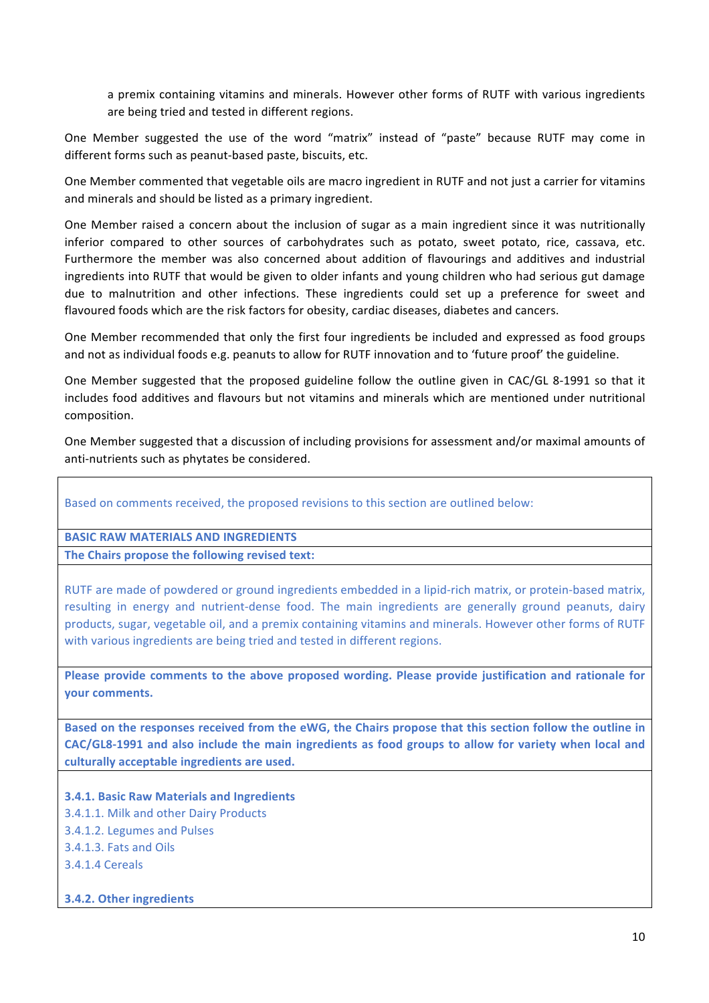a premix containing vitamins and minerals. However other forms of RUTF with various ingredients are being tried and tested in different regions.

One Member suggested the use of the word "matrix" instead of "paste" because RUTF may come in different forms such as peanut-based paste, biscuits, etc.

One Member commented that vegetable oils are macro ingredient in RUTF and not just a carrier for vitamins and minerals and should be listed as a primary ingredient.

One Member raised a concern about the inclusion of sugar as a main ingredient since it was nutritionally inferior compared to other sources of carbohydrates such as potato, sweet potato, rice, cassava, etc. Furthermore the member was also concerned about addition of flavourings and additives and industrial ingredients into RUTF that would be given to older infants and young children who had serious gut damage due to malnutrition and other infections. These ingredients could set up a preference for sweet and flavoured foods which are the risk factors for obesity, cardiac diseases, diabetes and cancers.

One Member recommended that only the first four ingredients be included and expressed as food groups and not as individual foods e.g. peanuts to allow for RUTF innovation and to 'future proof' the guideline.

One Member suggested that the proposed guideline follow the outline given in CAC/GL 8-1991 so that it includes food additives and flavours but not vitamins and minerals which are mentioned under nutritional composition.

One Member suggested that a discussion of including provisions for assessment and/or maximal amounts of anti-nutrients such as phytates be considered.

#### Based on comments received, the proposed revisions to this section are outlined below:

### **BASIC RAW MATERIALS AND INGREDIENTS**

The Chairs propose the following revised text:

RUTF are made of powdered or ground ingredients embedded in a lipid-rich matrix, or protein-based matrix, resulting in energy and nutrient-dense food. The main ingredients are generally ground peanuts, dairy products, sugar, vegetable oil, and a premix containing vitamins and minerals. However other forms of RUTF with various ingredients are being tried and tested in different regions.

Please provide comments to the above proposed wording. Please provide justification and rationale for **your comments.** 

Based on the responses received from the eWG, the Chairs propose that this section follow the outline in CAC/GL8-1991 and also include the main ingredients as food groups to allow for variety when local and culturally acceptable ingredients are used.

**3.4.1. Basic Raw Materials and Ingredients** 3.4.1.1. Milk and other Dairy Products 3.4.1.2. Legumes and Pulses 3.4.1.3. Fats and Oils 3.4.1.4 Cereals

#### **3.4.2. Other ingredients**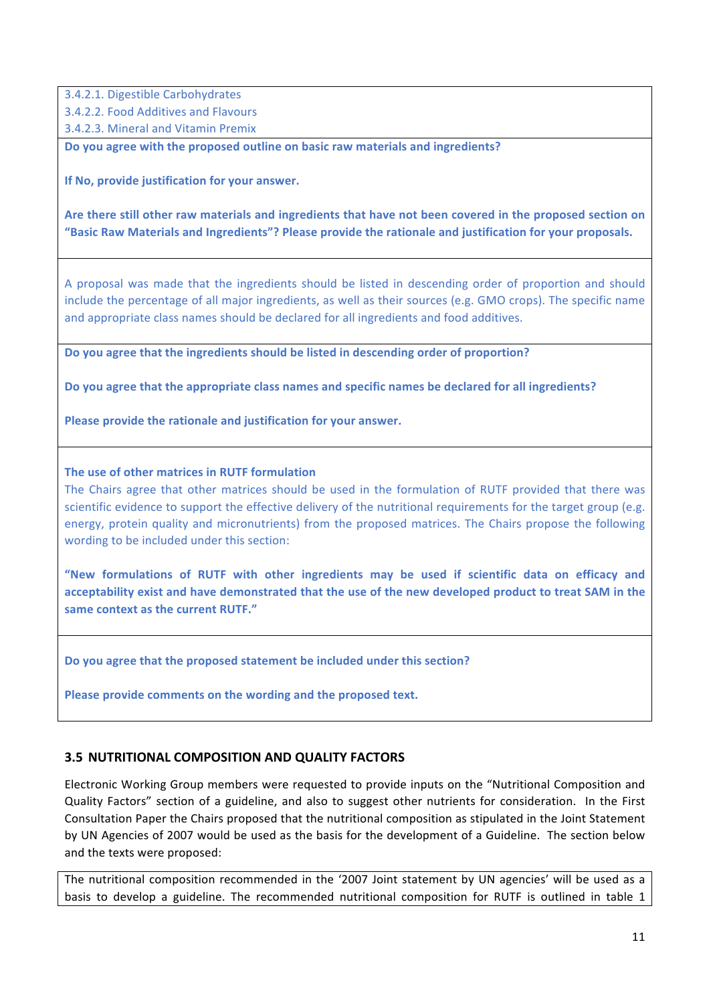3.4.2.1. Digestible Carbohydrates 3.4.2.2. Food Additives and Flavours

3.4.2.3. Mineral and Vitamin Premix

**Do you agree with the proposed outline on basic raw materials and ingredients?** 

**If No, provide justification for your answer.** 

Are there still other raw materials and ingredients that have not been covered in the proposed section on "Basic Raw Materials and Ingredients"? Please provide the rationale and justification for your proposals.

A proposal was made that the ingredients should be listed in descending order of proportion and should include the percentage of all major ingredients, as well as their sources (e.g. GMO crops). The specific name and appropriate class names should be declared for all ingredients and food additives.

Do you agree that the ingredients should be listed in descending order of proportion?

Do you agree that the appropriate class names and specific names be declared for all ingredients?

**Please provide the rationale and justification for your answer.** 

#### **The use of other matrices in RUTF formulation**

The Chairs agree that other matrices should be used in the formulation of RUTF provided that there was scientific evidence to support the effective delivery of the nutritional requirements for the target group (e.g. energy, protein quality and micronutrients) from the proposed matrices. The Chairs propose the following wording to be included under this section:

**"New formulations of RUTF with other ingredients may be used if scientific data on efficacy and**  acceptability exist and have demonstrated that the use of the new developed product to treat SAM in the same context as the current **RUTF.**"

Do you agree that the proposed statement be included under this section?

Please provide comments on the wording and the proposed text.

#### **3.5 NUTRITIONAL COMPOSITION AND QUALITY FACTORS**

Electronic Working Group members were requested to provide inputs on the "Nutritional Composition and Quality Factors" section of a guideline, and also to suggest other nutrients for consideration. In the First Consultation Paper the Chairs proposed that the nutritional composition as stipulated in the Joint Statement by UN Agencies of 2007 would be used as the basis for the development of a Guideline. The section below and the texts were proposed:

The nutritional composition recommended in the '2007 Joint statement by UN agencies' will be used as a basis to develop a guideline. The recommended nutritional composition for RUTF is outlined in table 1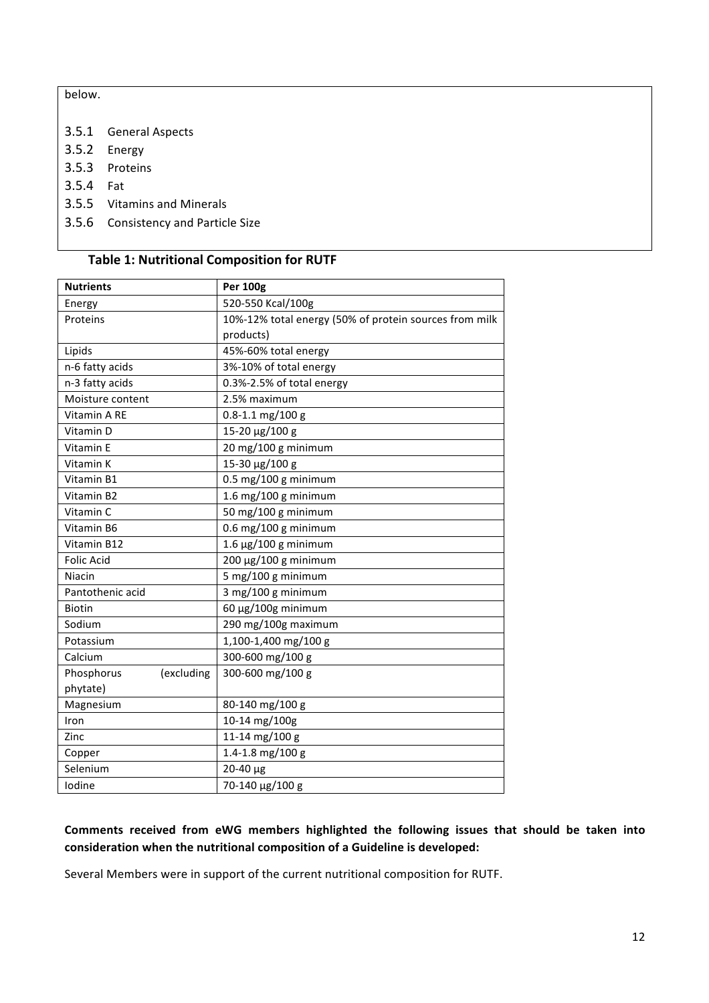below. 

- 3.5.1 General Aspects
- 3.5.2 Energy
- 3.5.3 Proteins
- 3.5.4 Fat
- 3.5.5 Vitamins and Minerals
- 3.5.6 Consistency and Particle Size

# **Table 1: Nutritional Composition for RUTF**

| <b>Nutrients</b>         | <b>Per 100g</b>                                        |
|--------------------------|--------------------------------------------------------|
| Energy                   | 520-550 Kcal/100g                                      |
| Proteins                 | 10%-12% total energy (50% of protein sources from milk |
|                          | products)                                              |
| Lipids                   | 45%-60% total energy                                   |
| n-6 fatty acids          | 3%-10% of total energy                                 |
| n-3 fatty acids          | 0.3%-2.5% of total energy                              |
| Moisture content         | 2.5% maximum                                           |
| Vitamin A RE             | $0.8 - 1.1$ mg/100 g                                   |
| Vitamin D                | 15-20 µg/100 g                                         |
| Vitamin E                | 20 mg/100 g minimum                                    |
| Vitamin K                | 15-30 µg/100 g                                         |
| Vitamin B1               | $0.5$ mg/100 g minimum                                 |
| Vitamin B2               | 1.6 mg/100 g minimum                                   |
| Vitamin C                | 50 mg/100 g minimum                                    |
| Vitamin B6               | $0.6$ mg/100 g minimum                                 |
| Vitamin B12              | $1.6 \mu g / 100 g$ minimum                            |
| <b>Folic Acid</b>        | $200 \mu g / 100 g$ minimum                            |
| Niacin                   | 5 mg/100 g minimum                                     |
| Pantothenic acid         | 3 mg/100 g minimum                                     |
| <b>Biotin</b>            | 60 µg/100g minimum                                     |
| Sodium                   | 290 mg/100g maximum                                    |
| Potassium                | 1,100-1,400 mg/100 g                                   |
| Calcium                  | 300-600 mg/100 g                                       |
| Phosphorus<br>(excluding | 300-600 mg/100 g                                       |
| phytate)                 |                                                        |
| Magnesium                | 80-140 mg/100 g                                        |
| Iron                     | 10-14 mg/100g                                          |
| Zinc                     | 11-14 mg/100 g                                         |
| Copper                   | 1.4-1.8 mg/100 g                                       |
| Selenium                 | 20-40 µg                                               |
| Iodine                   | 70-140 µg/100 g                                        |

# Comments received from eWG members highlighted the following issues that should be taken into consideration when the nutritional composition of a Guideline is developed:

Several Members were in support of the current nutritional composition for RUTF.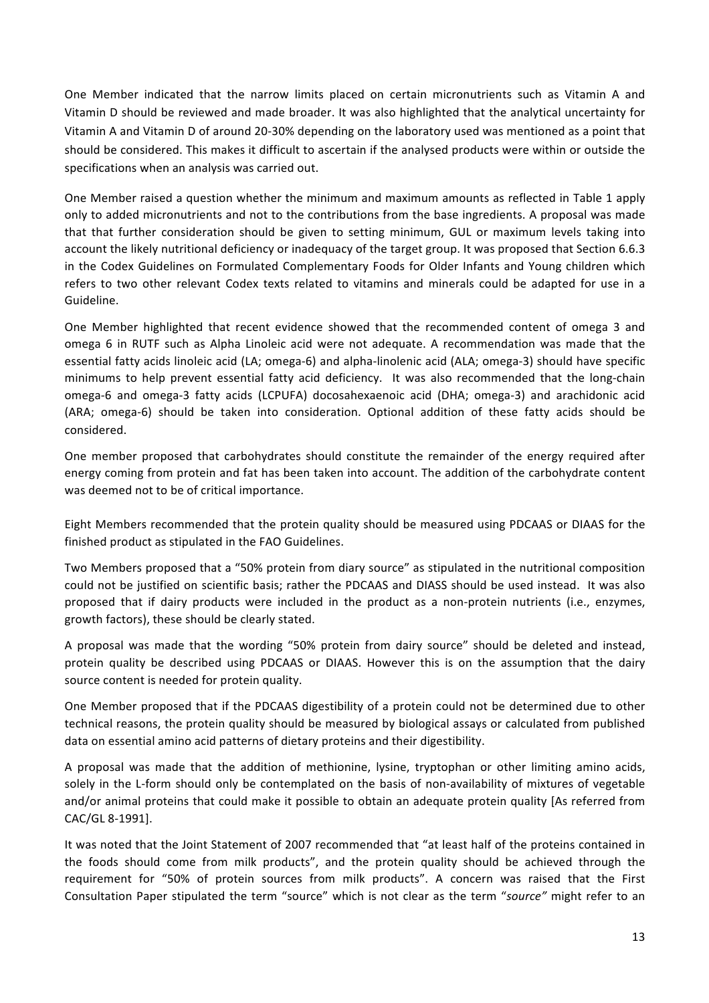One Member indicated that the narrow limits placed on certain micronutrients such as Vitamin A and Vitamin D should be reviewed and made broader. It was also highlighted that the analytical uncertainty for Vitamin A and Vitamin D of around 20-30% depending on the laboratory used was mentioned as a point that should be considered. This makes it difficult to ascertain if the analysed products were within or outside the specifications when an analysis was carried out.

One Member raised a question whether the minimum and maximum amounts as reflected in Table 1 apply only to added micronutrients and not to the contributions from the base ingredients. A proposal was made that that further consideration should be given to setting minimum, GUL or maximum levels taking into account the likely nutritional deficiency or inadequacy of the target group. It was proposed that Section 6.6.3 in the Codex Guidelines on Formulated Complementary Foods for Older Infants and Young children which refers to two other relevant Codex texts related to vitamins and minerals could be adapted for use in a Guideline.

One Member highlighted that recent evidence showed that the recommended content of omega 3 and omega 6 in RUTF such as Alpha Linoleic acid were not adequate. A recommendation was made that the essential fatty acids linoleic acid (LA; omega-6) and alpha-linolenic acid (ALA; omega-3) should have specific minimums to help prevent essential fatty acid deficiency. It was also recommended that the long-chain omega-6 and omega-3 fatty acids (LCPUFA) docosahexaenoic acid (DHA; omega-3) and arachidonic acid (ARA; omega-6) should be taken into consideration. Optional addition of these fatty acids should be considered. 

One member proposed that carbohydrates should constitute the remainder of the energy required after energy coming from protein and fat has been taken into account. The addition of the carbohydrate content was deemed not to be of critical importance.

Eight Members recommended that the protein quality should be measured using PDCAAS or DIAAS for the finished product as stipulated in the FAO Guidelines.

Two Members proposed that a "50% protein from diary source" as stipulated in the nutritional composition could not be justified on scientific basis; rather the PDCAAS and DIASS should be used instead. It was also proposed that if dairy products were included in the product as a non-protein nutrients (i.e., enzymes, growth factors), these should be clearly stated.

A proposal was made that the wording "50% protein from dairy source" should be deleted and instead, protein quality be described using PDCAAS or DIAAS. However this is on the assumption that the dairy source content is needed for protein quality.

One Member proposed that if the PDCAAS digestibility of a protein could not be determined due to other technical reasons, the protein quality should be measured by biological assays or calculated from published data on essential amino acid patterns of dietary proteins and their digestibility.

A proposal was made that the addition of methionine, lysine, tryptophan or other limiting amino acids, solely in the L-form should only be contemplated on the basis of non-availability of mixtures of vegetable and/or animal proteins that could make it possible to obtain an adequate protein quality [As referred from CAC/GL 8-1991]. 

It was noted that the Joint Statement of 2007 recommended that "at least half of the proteins contained in the foods should come from milk products", and the protein quality should be achieved through the requirement for "50% of protein sources from milk products". A concern was raised that the First Consultation Paper stipulated the term "source" which is not clear as the term "source" might refer to an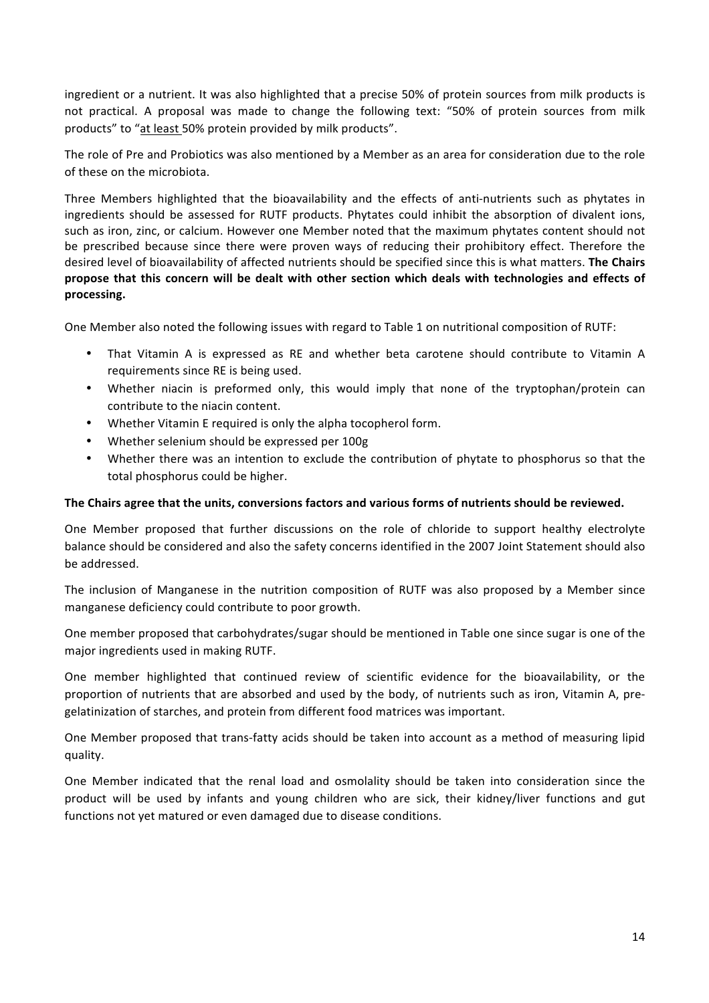ingredient or a nutrient. It was also highlighted that a precise 50% of protein sources from milk products is not practical. A proposal was made to change the following text: "50% of protein sources from milk products" to "at least 50% protein provided by milk products".

The role of Pre and Probiotics was also mentioned by a Member as an area for consideration due to the role of these on the microbiota.

Three Members highlighted that the bioavailability and the effects of anti-nutrients such as phytates in ingredients should be assessed for RUTF products. Phytates could inhibit the absorption of divalent ions, such as iron, zinc, or calcium. However one Member noted that the maximum phytates content should not be prescribed because since there were proven ways of reducing their prohibitory effect. Therefore the desired level of bioavailability of affected nutrients should be specified since this is what matters. **The Chairs** propose that this concern will be dealt with other section which deals with technologies and effects of **processing.**

One Member also noted the following issues with regard to Table 1 on nutritional composition of RUTF:

- That Vitamin A is expressed as RE and whether beta carotene should contribute to Vitamin A requirements since RE is being used.
- Whether niacin is preformed only, this would imply that none of the tryptophan/protein can contribute to the niacin content.
- Whether Vitamin E required is only the alpha tocopherol form.
- Whether selenium should be expressed per 100g
- Whether there was an intention to exclude the contribution of phytate to phosphorus so that the total phosphorus could be higher.

#### The Chairs agree that the units, conversions factors and various forms of nutrients should be reviewed.

One Member proposed that further discussions on the role of chloride to support healthy electrolyte balance should be considered and also the safety concerns identified in the 2007 Joint Statement should also be addressed.

The inclusion of Manganese in the nutrition composition of RUTF was also proposed by a Member since manganese deficiency could contribute to poor growth.

One member proposed that carbohydrates/sugar should be mentioned in Table one since sugar is one of the major ingredients used in making RUTF.

One member highlighted that continued review of scientific evidence for the bioavailability, or the proportion of nutrients that are absorbed and used by the body, of nutrients such as iron, Vitamin A, pregelatinization of starches, and protein from different food matrices was important.

One Member proposed that trans-fatty acids should be taken into account as a method of measuring lipid quality.

One Member indicated that the renal load and osmolality should be taken into consideration since the product will be used by infants and young children who are sick, their kidney/liver functions and gut functions not vet matured or even damaged due to disease conditions.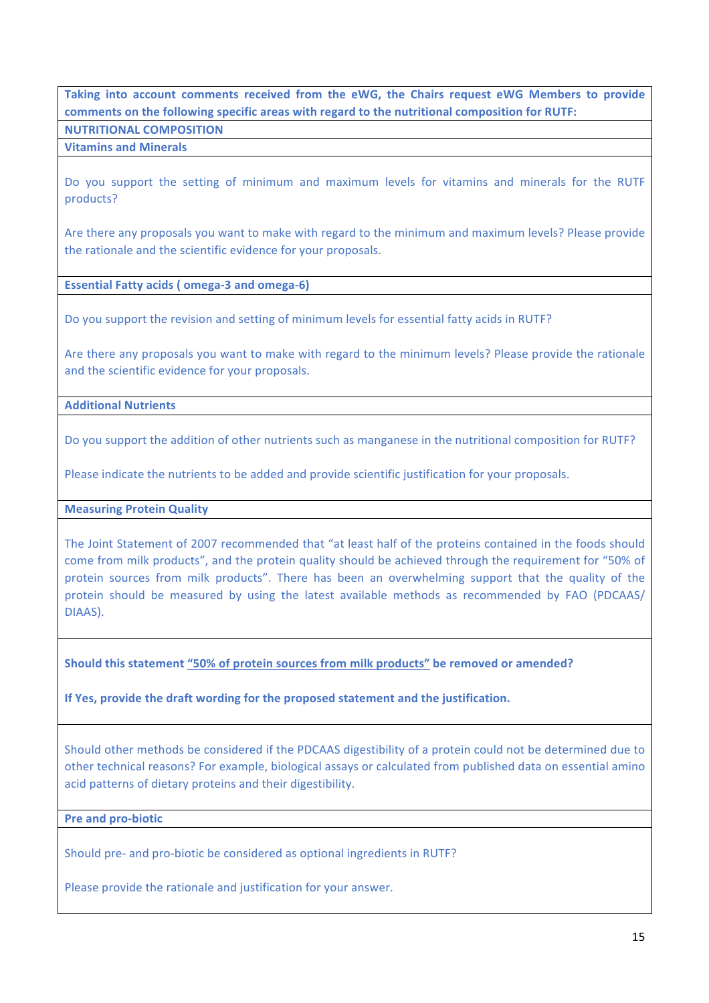# Taking into account comments received from the eWG, the Chairs request eWG Members to provide comments on the following specific areas with regard to the nutritional composition for RUTF:

### **NUTRITIONAL COMPOSITION**

### **Vitamins and Minerals**

Do you support the setting of minimum and maximum levels for vitamins and minerals for the RUTF products?

Are there any proposals you want to make with regard to the minimum and maximum levels? Please provide the rationale and the scientific evidence for your proposals.

**Essential Fatty acids (omega-3 and omega-6)** 

Do you support the revision and setting of minimum levels for essential fatty acids in RUTF?

Are there any proposals you want to make with regard to the minimum levels? Please provide the rationale and the scientific evidence for your proposals.

#### **Additional Nutrients**

Do you support the addition of other nutrients such as manganese in the nutritional composition for RUTF?

Please indicate the nutrients to be added and provide scientific justification for your proposals.

#### **Measuring Protein Quality**

The Joint Statement of 2007 recommended that "at least half of the proteins contained in the foods should come from milk products", and the protein quality should be achieved through the requirement for "50% of protein sources from milk products". There has been an overwhelming support that the quality of the protein should be measured by using the latest available methods as recommended by FAO (PDCAAS/ DIAAS).

Should this statement "50% of protein sources from milk products" be removed or amended?

**If Yes, provide the draft wording for the proposed statement and the justification.** 

Should other methods be considered if the PDCAAS digestibility of a protein could not be determined due to other technical reasons? For example, biological assays or calculated from published data on essential amino acid patterns of dietary proteins and their digestibility.

#### **Pre and pro-biotic**

Should pre- and pro-biotic be considered as optional ingredients in RUTF?

Please provide the rationale and justification for your answer.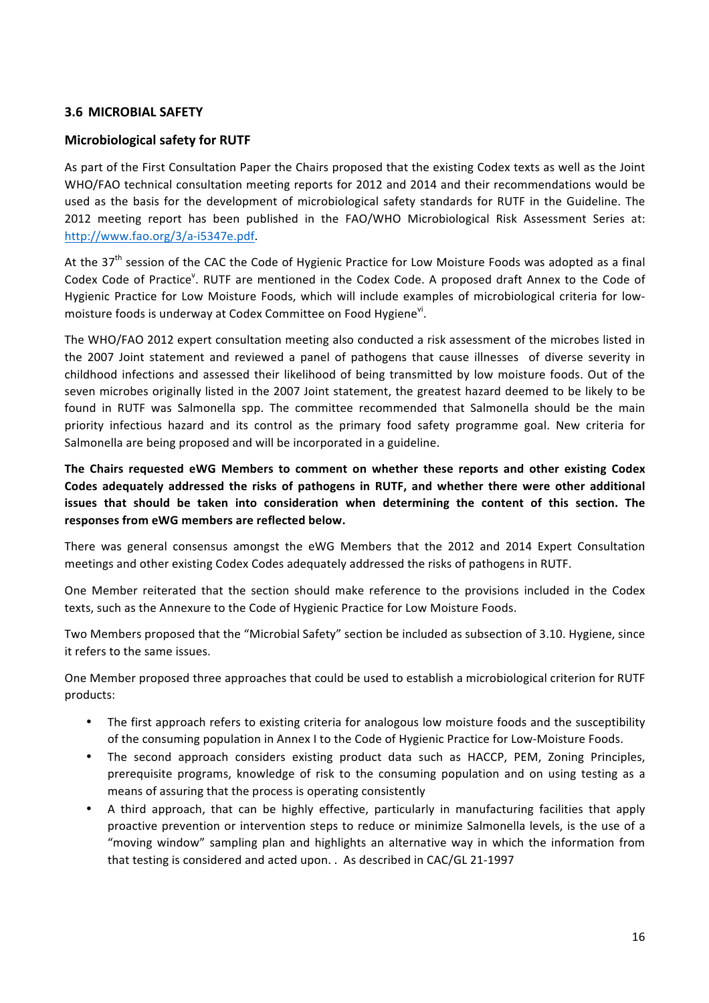# **3.6 MICROBIAL SAFETY**

# **Microbiological safety for RUTF**

As part of the First Consultation Paper the Chairs proposed that the existing Codex texts as well as the Joint WHO/FAO technical consultation meeting reports for 2012 and 2014 and their recommendations would be used as the basis for the development of microbiological safety standards for RUTF in the Guideline. The 2012 meeting report has been published in the FAO/WHO Microbiological Risk Assessment Series at: <http://www.fao.org/3/a-i5347e.pdf>. 

At the 37<sup>th</sup> session of the CAC the Code of Hygienic Practice for Low Moisture Foods was adopted as a final Codex Code of Practice<sup>v</sup>. RUTF are mentioned in the Codex Code. A proposed draft Annex to the Code of Hygienic Practice for Low Moisture Foods, which will include examples of microbiological criteria for lowmoisture foods is underway at Codex Committee on Food Hygiene<sup>vi</sup>.

The WHO/FAO 2012 expert consultation meeting also conducted a risk assessment of the microbes listed in the 2007 Joint statement and reviewed a panel of pathogens that cause illnesses of diverse severity in childhood infections and assessed their likelihood of being transmitted by low moisture foods. Out of the seven microbes originally listed in the 2007 Joint statement, the greatest hazard deemed to be likely to be found in RUTF was Salmonella spp. The committee recommended that Salmonella should be the main priority infectious hazard and its control as the primary food safety programme goal. New criteria for Salmonella are being proposed and will be incorporated in a guideline.

The Chairs requested eWG Members to comment on whether these reports and other existing Codex Codes adequately addressed the risks of pathogens in RUTF, and whether there were other additional issues that should be taken into consideration when determining the content of this section. The **responses from eWG members are reflected below.** 

There was general consensus amongst the eWG Members that the 2012 and 2014 Expert Consultation meetings and other existing Codex Codes adequately addressed the risks of pathogens in RUTF.

One Member reiterated that the section should make reference to the provisions included in the Codex texts, such as the Annexure to the Code of Hygienic Practice for Low Moisture Foods.

Two Members proposed that the "Microbial Safety" section be included as subsection of 3.10. Hygiene, since it refers to the same issues.

One Member proposed three approaches that could be used to establish a microbiological criterion for RUTF products:

- The first approach refers to existing criteria for analogous low moisture foods and the susceptibility of the consuming population in Annex I to the Code of Hygienic Practice for Low-Moisture Foods.
- The second approach considers existing product data such as HACCP, PEM, Zoning Principles, prerequisite programs, knowledge of risk to the consuming population and on using testing as a means of assuring that the process is operating consistently
- A third approach, that can be highly effective, particularly in manufacturing facilities that apply proactive prevention or intervention steps to reduce or minimize Salmonella levels, is the use of a "moving window" sampling plan and highlights an alternative way in which the information from that testing is considered and acted upon. . As described in CAC/GL 21-1997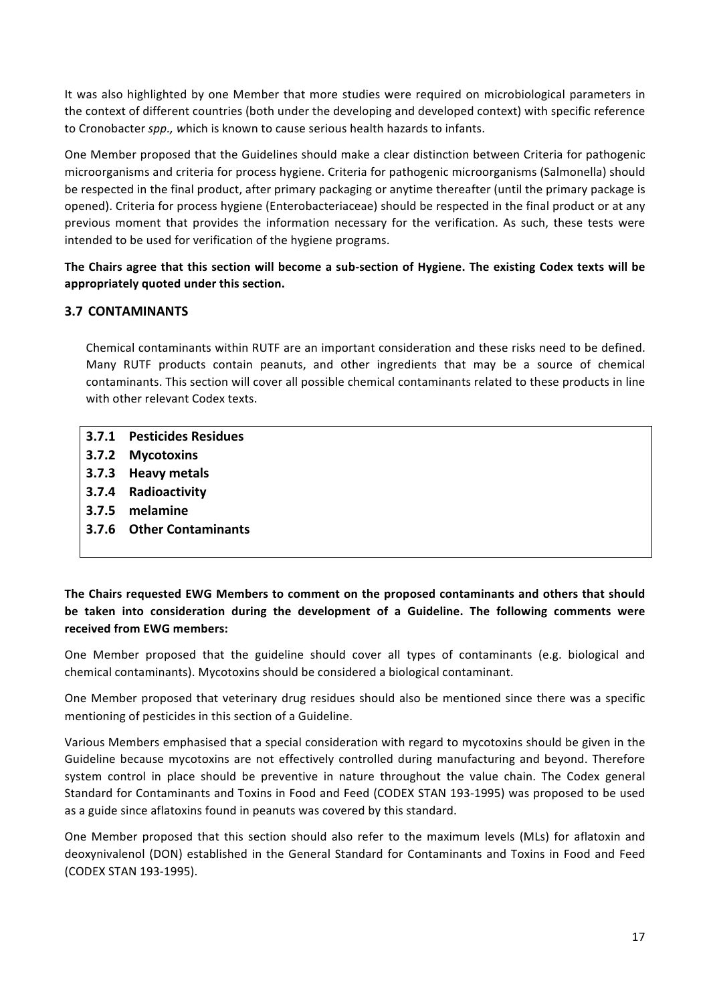It was also highlighted by one Member that more studies were required on microbiological parameters in the context of different countries (both under the developing and developed context) with specific reference to Cronobacter *spp.,* which is known to cause serious health hazards to infants.

One Member proposed that the Guidelines should make a clear distinction between Criteria for pathogenic microorganisms and criteria for process hygiene. Criteria for pathogenic microorganisms (Salmonella) should be respected in the final product, after primary packaging or anytime thereafter (until the primary package is opened). Criteria for process hygiene (Enterobacteriaceae) should be respected in the final product or at any previous moment that provides the information necessary for the verification. As such, these tests were intended to be used for verification of the hygiene programs.

# The Chairs agree that this section will become a sub-section of Hygiene. The existing Codex texts will be **appropriately quoted under this section.**

# **3.7 CONTAMINANTS**

Chemical contaminants within RUTF are an important consideration and these risks need to be defined. Many RUTF products contain peanuts, and other ingredients that may be a source of chemical contaminants. This section will cover all possible chemical contaminants related to these products in line with other relevant Codex texts.

- **3.7.1 Pesticides Residues**
- **3.7.2 Mycotoxins**
- **3.7.3 Heavy metals**
- **3.7.4 Radioactivity**
- **3.7.5 melamine**
- **3.7.6 Other Contaminants**

The Chairs requested EWG Members to comment on the proposed contaminants and others that should be taken into consideration during the development of a Guideline. The following comments were **received from EWG members:**

One Member proposed that the guideline should cover all types of contaminants (e.g. biological and chemical contaminants). Mycotoxins should be considered a biological contaminant. 

One Member proposed that veterinary drug residues should also be mentioned since there was a specific mentioning of pesticides in this section of a Guideline.

Various Members emphasised that a special consideration with regard to mycotoxins should be given in the Guideline because mycotoxins are not effectively controlled during manufacturing and beyond. Therefore system control in place should be preventive in nature throughout the value chain. The Codex general Standard for Contaminants and Toxins in Food and Feed (CODEX STAN 193-1995) was proposed to be used as a guide since aflatoxins found in peanuts was covered by this standard.

One Member proposed that this section should also refer to the maximum levels (MLs) for aflatoxin and deoxynivalenol (DON) established in the General Standard for Contaminants and Toxins in Food and Feed (CODEX STAN 193-1995).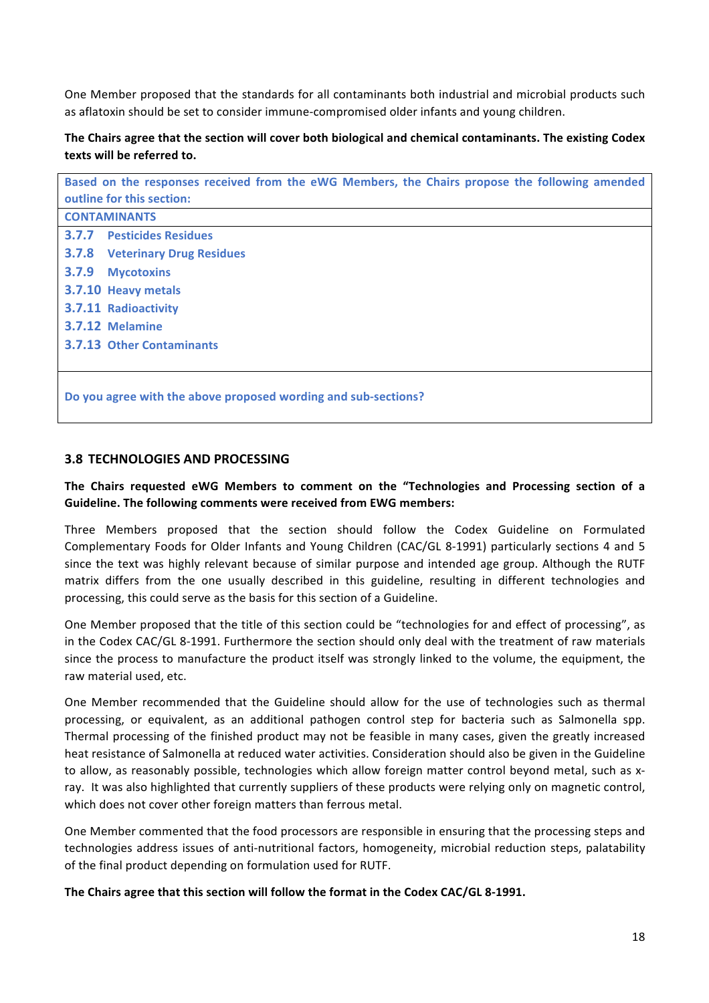One Member proposed that the standards for all contaminants both industrial and microbial products such as aflatoxin should be set to consider immune-compromised older infants and young children.

# The Chairs agree that the section will cover both biological and chemical contaminants. The existing Codex **texts will be referred to.**

| Based on the responses received from the eWG Members, the Chairs propose the following amended |  |  |
|------------------------------------------------------------------------------------------------|--|--|
| outline for this section:                                                                      |  |  |
| <b>CONTAMINANTS</b>                                                                            |  |  |
| 3.7.7<br><b>Pesticides Residues</b>                                                            |  |  |
| <b>3.7.8 Veterinary Drug Residues</b>                                                          |  |  |
| 3.7.9<br><b>Mycotoxins</b>                                                                     |  |  |
| 3.7.10 Heavy metals                                                                            |  |  |
| 3.7.11 Radioactivity                                                                           |  |  |
| 3.7.12 Melamine                                                                                |  |  |
| <b>3.7.13 Other Contaminants</b>                                                               |  |  |
|                                                                                                |  |  |
| Do you agree with the above proposed wording and sub-sections?                                 |  |  |

### **3.8 TECHNOLOGIES AND PROCESSING**

# The Chairs requested eWG Members to comment on the "Technologies and Processing section of a **Guideline. The following comments were received from EWG members:**

Three Members proposed that the section should follow the Codex Guideline on Formulated Complementary Foods for Older Infants and Young Children (CAC/GL 8-1991) particularly sections 4 and 5 since the text was highly relevant because of similar purpose and intended age group. Although the RUTF matrix differs from the one usually described in this guideline, resulting in different technologies and processing, this could serve as the basis for this section of a Guideline.

One Member proposed that the title of this section could be "technologies for and effect of processing", as in the Codex CAC/GL 8-1991. Furthermore the section should only deal with the treatment of raw materials since the process to manufacture the product itself was strongly linked to the volume, the equipment, the raw material used, etc.

One Member recommended that the Guideline should allow for the use of technologies such as thermal processing, or equivalent, as an additional pathogen control step for bacteria such as Salmonella spp. Thermal processing of the finished product may not be feasible in many cases, given the greatly increased heat resistance of Salmonella at reduced water activities. Consideration should also be given in the Guideline to allow, as reasonably possible, technologies which allow foreign matter control beyond metal, such as xray. It was also highlighted that currently suppliers of these products were relying only on magnetic control, which does not cover other foreign matters than ferrous metal.

One Member commented that the food processors are responsible in ensuring that the processing steps and technologies address issues of anti-nutritional factors, homogeneity, microbial reduction steps, palatability of the final product depending on formulation used for RUTF.

The Chairs agree that this section will follow the format in the Codex CAC/GL 8-1991.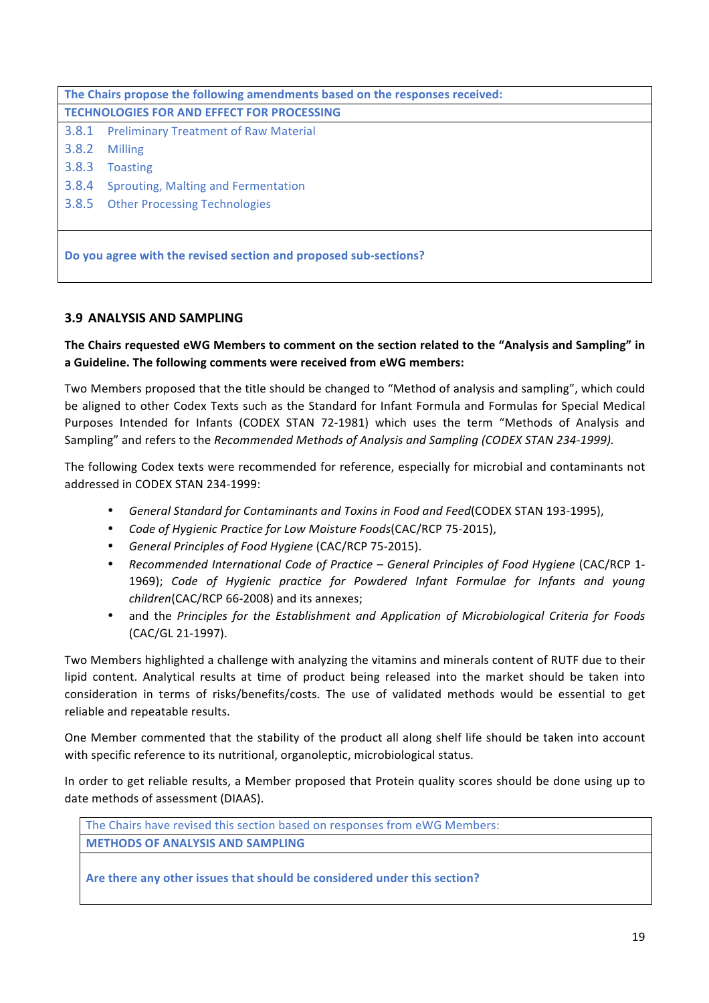| The Chairs propose the following amendments based on the responses received: |                                             |
|------------------------------------------------------------------------------|---------------------------------------------|
| <b>TECHNOLOGIES FOR AND EFFECT FOR PROCESSING</b>                            |                                             |
|                                                                              | 3.8.1 Preliminary Treatment of Raw Material |
| 3.8.2                                                                        | Milling                                     |
| 3.8.3                                                                        | <b>Toasting</b>                             |
| 3.8.4                                                                        | Sprouting, Malting and Fermentation         |
|                                                                              | 3.8.5 Other Processing Technologies         |
|                                                                              |                                             |
|                                                                              |                                             |
| Do you agree with the revised section and proposed sub-sections?             |                                             |

# **3.9 ANALYSIS AND SAMPLING**

The Chairs requested eWG Members to comment on the section related to the "Analysis and Sampling" in a Guideline. The following comments were received from eWG members:

Two Members proposed that the title should be changed to "Method of analysis and sampling", which could be aligned to other Codex Texts such as the Standard for Infant Formula and Formulas for Special Medical Purposes Intended for Infants (CODEX STAN 72-1981) which uses the term "Methods of Analysis and Sampling" and refers to the *Recommended Methods of Analysis and Sampling (CODEX STAN 234-1999).* 

The following Codex texts were recommended for reference, especially for microbial and contaminants not addressed in CODEX STAN 234-1999:

- *General Standard for Contaminants and Toxins in Food and Feed* (CODEX STAN 193-1995),
- Code of Hygienic Practice for Low Moisture Foods(CAC/RCP 75-2015),
- *General Principles of Food Hygiene* (CAC/RCP 75-2015).
- *Recommended International Code of Practice – General Principles of Food Hygiene* (CAC/RCP 1- 1969); Code of Hygienic practice for Powdered Infant Formulae for Infants and young *children*(CAC/RCP 66-2008) and its annexes;
- and the Principles for the Establishment and Application of Microbiological Criteria for Foods (CAC/GL 21-1997).

Two Members highlighted a challenge with analyzing the vitamins and minerals content of RUTF due to their lipid content. Analytical results at time of product being released into the market should be taken into consideration in terms of risks/benefits/costs. The use of validated methods would be essential to get reliable and repeatable results.

One Member commented that the stability of the product all along shelf life should be taken into account with specific reference to its nutritional, organoleptic, microbiological status.

In order to get reliable results, a Member proposed that Protein quality scores should be done using up to date methods of assessment (DIAAS).

The Chairs have revised this section based on responses from eWG Members: **METHODS OF ANALYSIS AND SAMPLING**

Are there any other issues that should be considered under this section?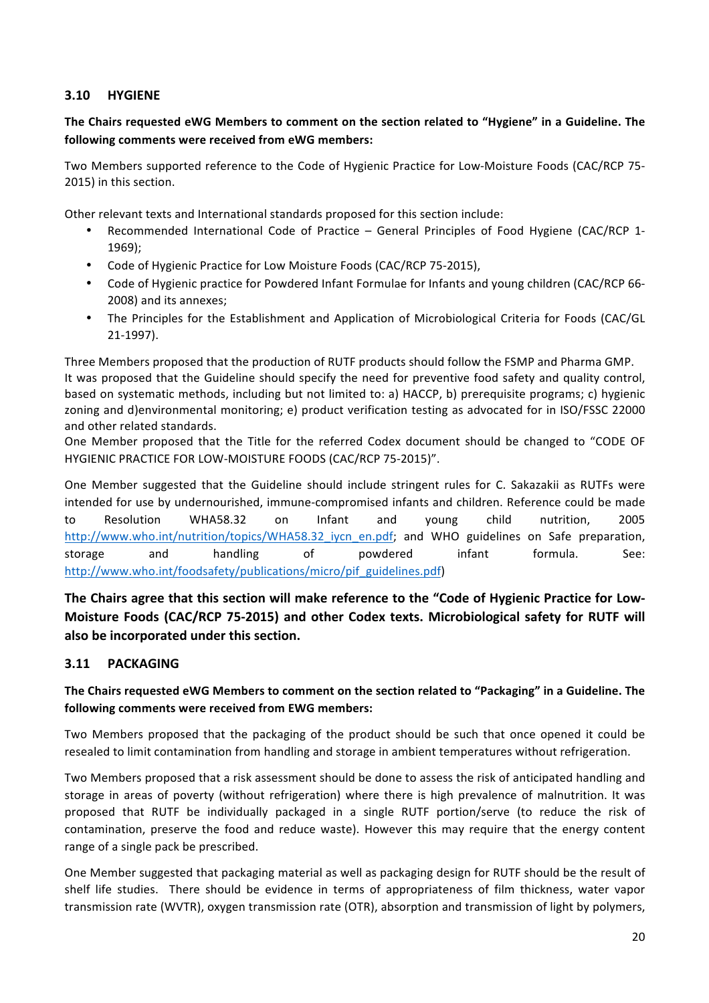# **3.10 HYGIENE**

# The Chairs requested eWG Members to comment on the section related to "Hygiene" in a Guideline. The **following comments were received from eWG members:**

Two Members supported reference to the Code of Hygienic Practice for Low-Moisture Foods (CAC/RCP 75-2015) in this section.

Other relevant texts and International standards proposed for this section include:

- Recommended International Code of Practice General Principles of Food Hygiene (CAC/RCP 1-1969);
- Code of Hygienic Practice for Low Moisture Foods (CAC/RCP 75-2015),
- Code of Hygienic practice for Powdered Infant Formulae for Infants and young children (CAC/RCP 66-2008) and its annexes;
- The Principles for the Establishment and Application of Microbiological Criteria for Foods (CAC/GL 21-1997).

Three Members proposed that the production of RUTF products should follow the FSMP and Pharma GMP. It was proposed that the Guideline should specify the need for preventive food safety and quality control, based on systematic methods, including but not limited to: a) HACCP, b) prerequisite programs; c) hygienic zoning and d)environmental monitoring; e) product verification testing as advocated for in ISO/FSSC 22000 and other related standards.

One Member proposed that the Title for the referred Codex document should be changed to "CODE OF HYGIENIC PRACTICE FOR LOW-MOISTURE FOODS (CAC/RCP 75-2015)".

One Member suggested that the Guideline should include stringent rules for C. Sakazakii as RUTFs were intended for use by undernourished, immune-compromised infants and children. Reference could be made to Resolution WHA58.32 on Infant and young child nutrition, 2005 http://www.who.int/nutrition/topics/WHA58.32 iycn\_en.pdf; and WHO guidelines on Safe preparation, storage and handling of powdered infant formula. See: [http://www.who.int/foodsafety/publications/micro/pif\\_guidelines.pdf](http://www.who.int/foodsafety/publications/micro/pif_guidelines.pdf))

The Chairs agree that this section will make reference to the "Code of Hygienic Practice for Low-**Moisture Foods (CAC/RCP 75-2015) and other Codex texts. Microbiological safety for RUTF will** also be incorporated under this section.

# **3.11 PACKAGING**

# The Chairs requested eWG Members to comment on the section related to "Packaging" in a Guideline. The following comments were received from EWG members:

Two Members proposed that the packaging of the product should be such that once opened it could be resealed to limit contamination from handling and storage in ambient temperatures without refrigeration.

Two Members proposed that a risk assessment should be done to assess the risk of anticipated handling and storage in areas of poverty (without refrigeration) where there is high prevalence of malnutrition. It was proposed that RUTF be individually packaged in a single RUTF portion/serve (to reduce the risk of contamination, preserve the food and reduce waste). However this may require that the energy content range of a single pack be prescribed.

One Member suggested that packaging material as well as packaging design for RUTF should be the result of shelf life studies. There should be evidence in terms of appropriateness of film thickness, water vapor transmission rate (WVTR), oxygen transmission rate (OTR), absorption and transmission of light by polymers,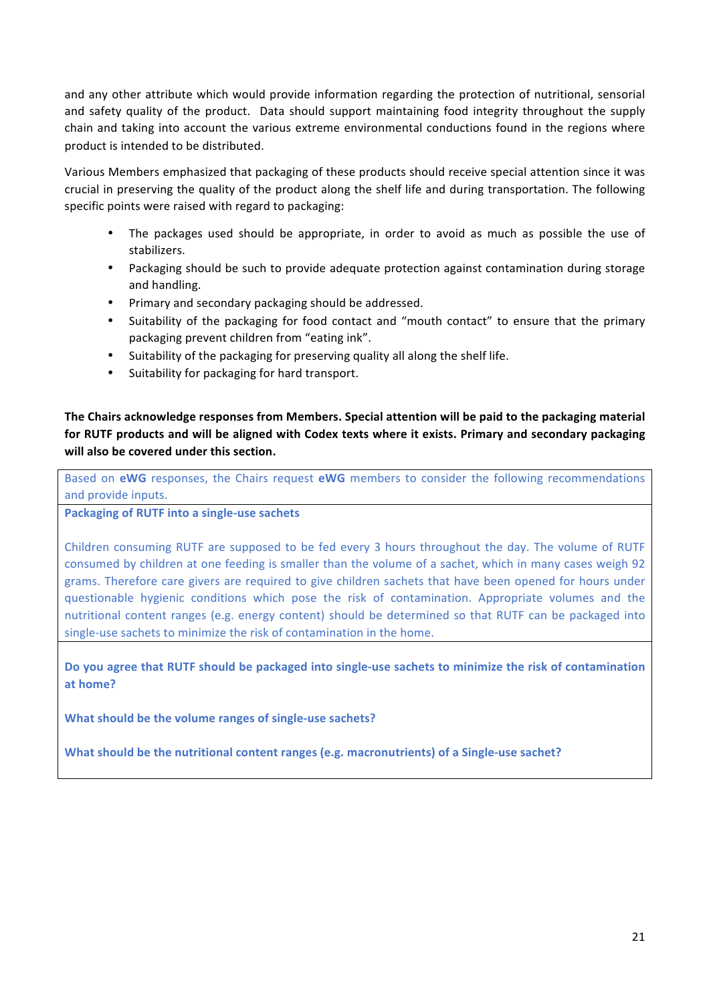and any other attribute which would provide information regarding the protection of nutritional, sensorial and safety quality of the product. Data should support maintaining food integrity throughout the supply chain and taking into account the various extreme environmental conductions found in the regions where product is intended to be distributed.

Various Members emphasized that packaging of these products should receive special attention since it was crucial in preserving the quality of the product along the shelf life and during transportation. The following specific points were raised with regard to packaging:

- The packages used should be appropriate, in order to avoid as much as possible the use of stabilizers.
- Packaging should be such to provide adequate protection against contamination during storage and handling.
- Primary and secondary packaging should be addressed.
- Suitability of the packaging for food contact and "mouth contact" to ensure that the primary packaging prevent children from "eating ink".
- Suitability of the packaging for preserving quality all along the shelf life.
- Suitability for packaging for hard transport.

The Chairs acknowledge responses from Members. Special attention will be paid to the packaging material for RUTF products and will be aligned with Codex texts where it exists. Primary and secondary packaging will also be covered under this section.

Based on **eWG** responses, the Chairs request **eWG** members to consider the following recommendations and provide inputs.

#### Packaging of RUTF into a single-use sachets

Children consuming RUTF are supposed to be fed every 3 hours throughout the day. The volume of RUTF consumed by children at one feeding is smaller than the volume of a sachet, which in many cases weigh 92 grams. Therefore care givers are required to give children sachets that have been opened for hours under questionable hygienic conditions which pose the risk of contamination. Appropriate volumes and the nutritional content ranges (e.g. energy content) should be determined so that RUTF can be packaged into single-use sachets to minimize the risk of contamination in the home.

Do you agree that RUTF should be packaged into single-use sachets to minimize the risk of contamination **at home?**

**What should be the volume ranges of single-use sachets?** 

**What should be the nutritional content ranges (e.g. macronutrients) of a Single-use sachet?**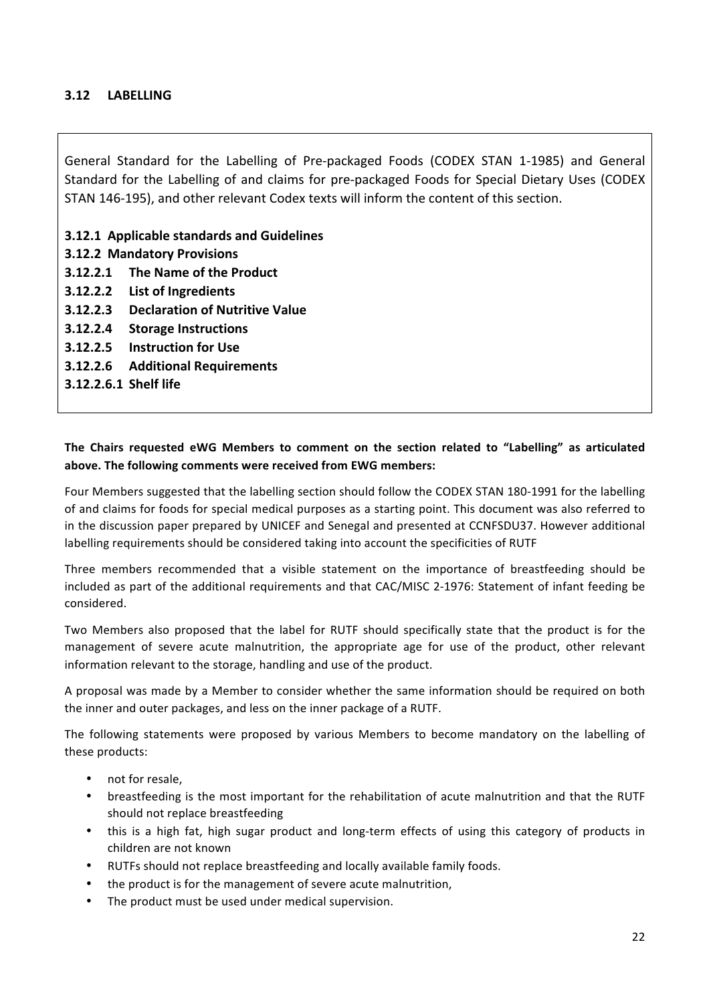# **3.12 LABELLING**

General Standard for the Labelling of Pre-packaged Foods (CODEX STAN 1-1985) and General Standard for the Labelling of and claims for pre-packaged Foods for Special Dietary Uses (CODEX STAN 146-195), and other relevant Codex texts will inform the content of this section.

### **3.12.1 Applicable standards and Guidelines**

- **3.12.2 Mandatory Provisions**
- **3.12.2.1** The Name of the Product
- **3.12.2.2 List of Ingredients**
- **3.12.2.3 Declaration of Nutritive Value**
- **3.12.2.4 Storage Instructions**
- **3.12.2.5 Instruction for Use**
- **3.12.2.6 Additional Requirements**
- **3.12.2.6.1 Shelf life**

# The Chairs requested eWG Members to comment on the section related to "Labelling" as articulated above. The following comments were received from EWG members:

Four Members suggested that the labelling section should follow the CODEX STAN 180-1991 for the labelling of and claims for foods for special medical purposes as a starting point. This document was also referred to in the discussion paper prepared by UNICEF and Senegal and presented at CCNFSDU37. However additional labelling requirements should be considered taking into account the specificities of RUTF

Three members recommended that a visible statement on the importance of breastfeeding should be included as part of the additional requirements and that CAC/MISC 2-1976: Statement of infant feeding be considered. 

Two Members also proposed that the label for RUTF should specifically state that the product is for the management of severe acute malnutrition, the appropriate age for use of the product, other relevant information relevant to the storage, handling and use of the product.

A proposal was made by a Member to consider whether the same information should be required on both the inner and outer packages, and less on the inner package of a RUTF.

The following statements were proposed by various Members to become mandatory on the labelling of these products:

- not for resale.
- breastfeeding is the most important for the rehabilitation of acute malnutrition and that the RUTF should not replace breastfeeding
- this is a high fat, high sugar product and long-term effects of using this category of products in children are not known
- RUTFs should not replace breastfeeding and locally available family foods.
- the product is for the management of severe acute malnutrition,
- The product must be used under medical supervision.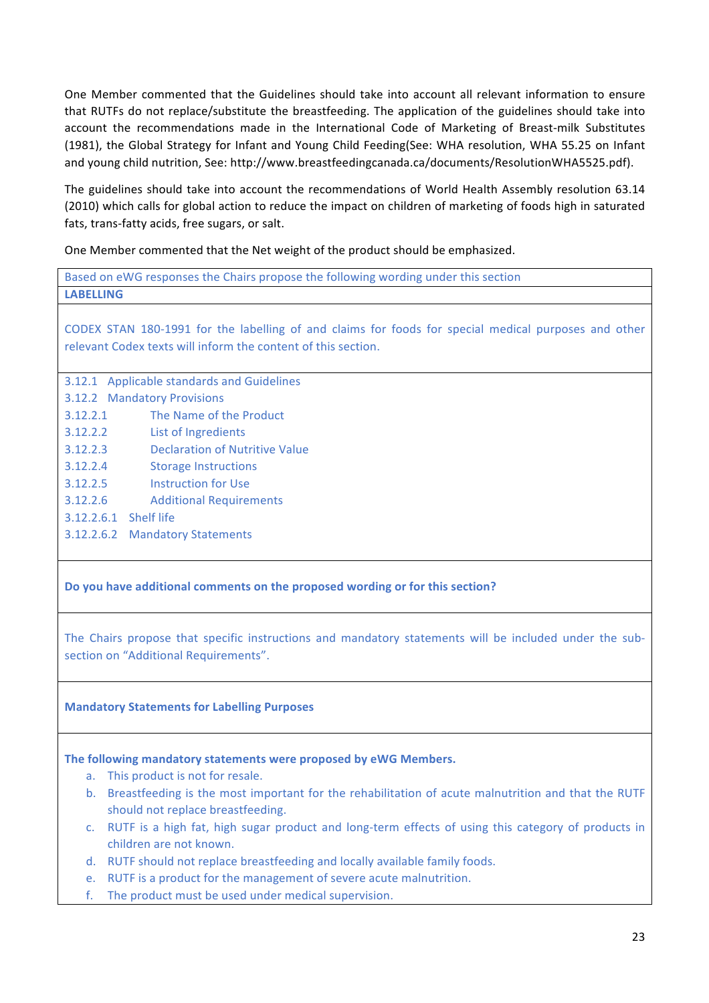One Member commented that the Guidelines should take into account all relevant information to ensure that RUTFs do not replace/substitute the breastfeeding. The application of the guidelines should take into account the recommendations made in the International Code of Marketing of Breast-milk Substitutes (1981), the Global Strategy for Infant and Young Child Feeding(See: WHA resolution, WHA 55.25 on Infant and young child nutrition, See: http://www.breastfeedingcanada.ca/documents/ResolutionWHA5525.pdf).

The guidelines should take into account the recommendations of World Health Assembly resolution 63.14 (2010) which calls for global action to reduce the impact on children of marketing of foods high in saturated fats, trans-fatty acids, free sugars, or salt.

One Member commented that the Net weight of the product should be emphasized.

Based on eWG responses the Chairs propose the following wording under this section **LABELLING**

CODEX STAN 180-1991 for the labelling of and claims for foods for special medical purposes and other relevant Codex texts will inform the content of this section.

3.12.1 Applicable standards and Guidelines 3.12.2 Mandatory Provisions 3.12.2.1 The Name of the Product 3.12.2.2 List of Ingredients 3.12.2.3 Declaration of Nutritive Value 3.12.2.4 Storage Instructions 3.12.2.5 Instruction for Use 3.12.2.6 Additional Requirements 3.12.2.6.1 Shelf life 3.12.2.6.2 Mandatory Statements

Do you have additional comments on the proposed wording or for this section?

The Chairs propose that specific instructions and mandatory statements will be included under the subsection on "Additional Requirements".

# **Mandatory Statements for Labelling Purposes**

#### The following mandatory statements were proposed by eWG Members.

- a. This product is not for resale.
- b. Breastfeeding is the most important for the rehabilitation of acute malnutrition and that the RUTF should not replace breastfeeding.
- c. RUTF is a high fat, high sugar product and long-term effects of using this category of products in children are not known.
- d. RUTF should not replace breastfeeding and locally available family foods.
- e. RUTF is a product for the management of severe acute malnutrition.
- f. The product must be used under medical supervision.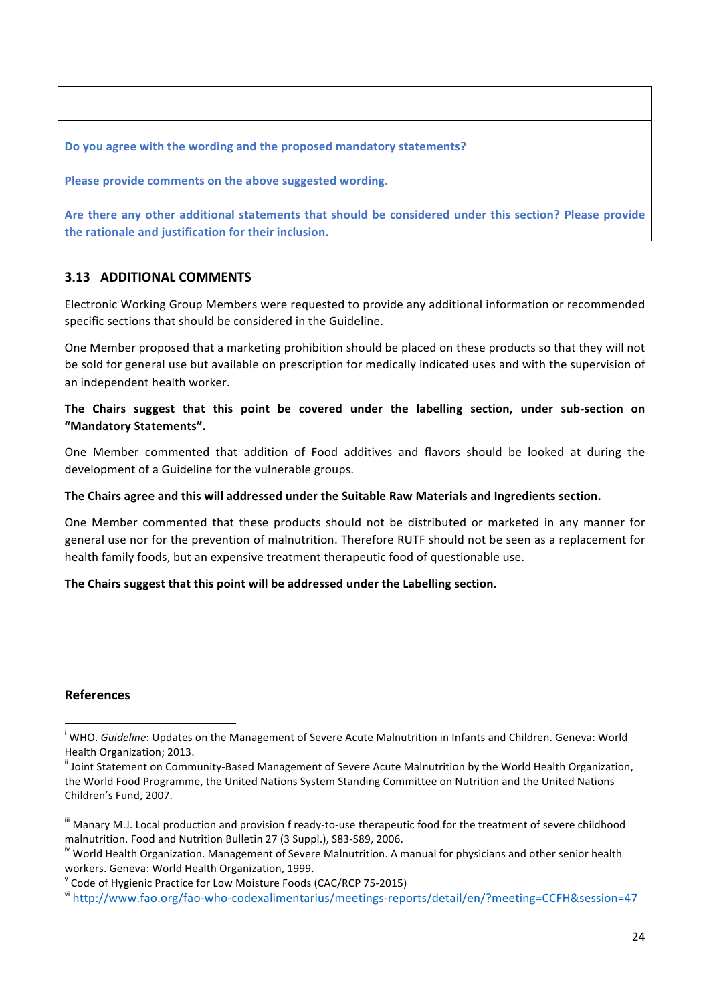Do you agree with the wording and the proposed mandatory statements?

Please provide comments on the above suggested wording.

Are there any other additional statements that should be considered under this section? Please provide the rationale and justification for their inclusion.

# **3.13 ADDITIONAL COMMENTS**

Electronic Working Group Members were requested to provide any additional information or recommended specific sections that should be considered in the Guideline.

One Member proposed that a marketing prohibition should be placed on these products so that they will not be sold for general use but available on prescription for medically indicated uses and with the supervision of an independent health worker.

# The Chairs suggest that this point be covered under the labelling section, under sub-section on **"Mandatory Statements".**

One Member commented that addition of Food additives and flavors should be looked at during the development of a Guideline for the vulnerable groups.

### The Chairs agree and this will addressed under the Suitable Raw Materials and Ingredients section.

One Member commented that these products should not be distributed or marketed in any manner for general use nor for the prevention of malnutrition. Therefore RUTF should not be seen as a replacement for health family foods, but an expensive treatment therapeutic food of questionable use.

# The Chairs suggest that this point will be addressed under the Labelling section.

# **References**

<u> 1989 - Jan Samuel Barbara, margaret e</u>

<sup>&</sup>lt;sup>i</sup> WHO. *Guideline*: Updates on the Management of Severe Acute Malnutrition in Infants and Children. Geneva: World Health Organization; 2013.

<sup>&</sup>quot; Joint Statement on Community-Based Management of Severe Acute Malnutrition by the World Health Organization, the World Food Programme, the United Nations System Standing Committee on Nutrition and the United Nations Children's Fund, 2007.

III Manary M.J. Local production and provision f ready-to-use therapeutic food for the treatment of severe childhood malnutrition. Food and Nutrition Bulletin 27 (3 Suppl.), S83-S89, 2006.<br><sup>iv</sup> World Health Organization. Management of Severe Malnutrition. A manual for physicians and other senior health

workers. Geneva: World Health Organization, 1999.

 $\degree$  Code of Hygienic Practice for Low Moisture Foods (CAC/RCP 75-2015)

vi http://www.fao.org/fao-who-codexalimentarius/meetings-reports/detail/en/?meeting=CCFH&session=47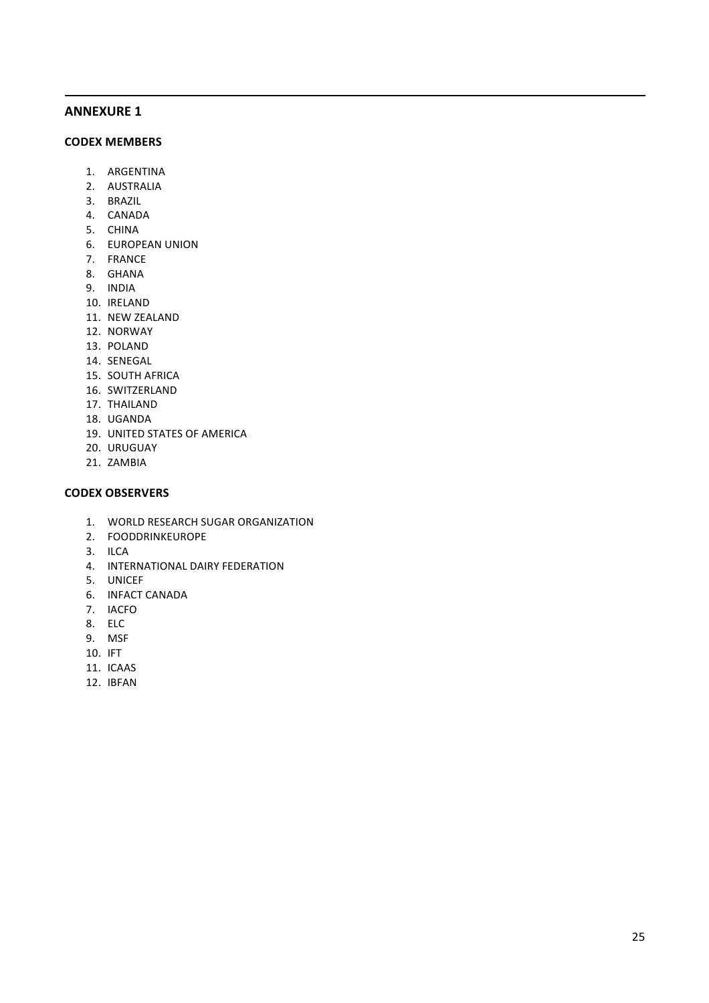# **ANNEXURE 1**

#### **CODEX MEMBERS**

- 1. ARGENTINA
- 2. AUSTRALIA
- 3. BRAZIL
- 4. CANADA
- 5. CHINA
- **6. EUROPEAN UNION**
- 7. FRANCE
- 8. GHANA
- 9. INDIA
- 10. IRELAND
- 11. NEW ZEALAND
- 12. NORWAY
- 13. POLAND
- 14. SENEGAL
- 15. SOUTH AFRICA
- 16. SWITZERLAND
- 17. THAILAND
- 18. UGANDA
- 19. UNITED STATES OF AMERICA
- 20. URUGUAY
- 21. ZAMBIA

#### **CODEX OBSERVERS**

1. WORLD RESEARCH SUGAR ORGANIZATION

<u> 1989 - Andrea Santa Andrea Andrea Andrea Andrea Andrea Andrea Andrea Andrea Andrea Andrea Andrea Andrea Andr</u>

- 2. FOODDRINKEUROPE
- 3. ILCA
- 4. INTERNATIONAL DAIRY FEDERATION
- 5. UNICEF
- 6. INFACT CANADA
- 7. IACFO
- 8. ELC
- 9. MSF
- 10. IFT
- 11. ICAAS
- 12. IBFAN